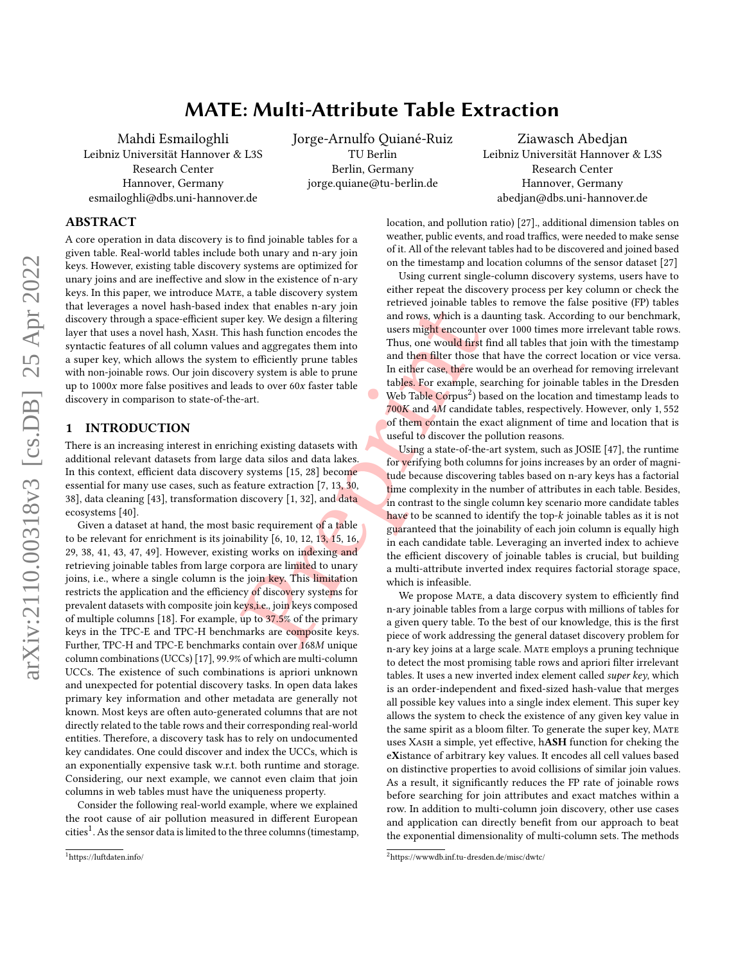# MATE: Multi-Attribute Table Extraction

Mahdi Esmailoghli

Leibniz Universität Hannover & L3S Research Center Hannover, Germany esmailoghli@dbs.uni-hannover.de

Jorge-Arnulfo Quiané-Ruiz TU Berlin Berlin, Germany jorge.quiane@tu-berlin.de

Ziawasch Abedjan Leibniz Universität Hannover & L3S Research Center Hannover, Germany abedjan@dbs.uni-hannover.de

## ABSTRACT

A core operation in data discovery is to find joinable tables for a given table. Real-world tables include both unary and n-ary join keys. However, existing table discovery systems are optimized for unary joins and are ineffective and slow in the existence of n-ary keys. In this paper, we introduce MATE, a table discovery system that leverages a novel hash-based index that enables n-ary join discovery through a space-efficient super key. We design a filtering layer that uses a novel hash, XASH. This hash function encodes the syntactic features of all column values and aggregates them into a super key, which allows the system to efficiently prune tables with non-joinable rows. Our join discovery system is able to prune up to 1000 more false positives and leads to over 60 faster table discovery in comparison to state-of-the-art.

## 1 INTRODUCTION

There is an increasing interest in enriching existing datasets with additional relevant datasets from large data silos and data lakes. In this context, efficient data discovery systems [15, 28] become essential for many use cases, such as feature extraction [7, 13, 30, [38\]](#page-12-5), data cleaning [\[43\]](#page-12-6), transformation discovery [1, 32], and <mark>data</mark> ecosystems [\[40\]](#page-12-8).

Ex that enables n-a[r](#page-12-11)y join<br>
r[e](#page-12-3)[p](#page-12-4)rised and rows, which is a composite hash function encodes the<br>
and rows, which is a data subset of the and aggregates them into<br>
the and then filter those tery system is able to prune<br>
and Given a dataset at hand, the most basic requirement of a table to be relevant for enrichment is its joinability [6, 10, 12, 1<mark>3, 1</mark>5, 16, [29](#page-12-13), [38](#page-12-5), [41](#page-12-14), [43](#page-12-6), [47](#page-12-15), [49\]](#page-12-16). However, existing works on indexing and retrieving joinable tables from large corpora are limited to unary joins, i.e., where a single column is the join key. This limitation restricts the application and the efficiency of discovery systems for prevalent datasets with composite join keys,i.e., join keys composed of multiple columns [\[18\]](#page-12-17). For example, up to 37 .5% of the primary keys in the TPC-E and TPC-H benchmarks are composite keys. Further, TPC-H and TPC-E benchmarks contain over 168M unique column combinations (UCCs) [\[17\]](#page-12-18), 99 .9% of which are multi-column UCCs. The existence of such combinations is apriori unknown and unexpected for potential discovery tasks. In open data lakes primary key information and other metadata are generally not known. Most keys are often auto-generated columns that are not directly related to the table rows and their corresponding real-world entities. Therefore, a discovery task has to rely on undocumented key candidates. One could discover and index the UCCs, which is an exponentially expensive task w.r.t. both runtime and storage. Considering, our next example, we cannot even claim that join columns in web tables must have the uniqueness property.

Consider the following real-world example, where we explained the root cause of air pollution measured in different European cities $^1$  $^1$ . As the sensor data is limited to the three columns (timestamp, location, and pollution ratio) [\[27\]](#page-12-19)., additional dimension tables on weather, public events, and road traffics, were needed to make sense of it. All of the relevant tables had to be discovered and joined based on the timestamp and location columns of the sensor dataset [\[27\]](#page-12-19)

Using current single-column discovery systems, users have to either repeat the discovery process per key column or check the retrieved joinable tables to remove the false positive (FP) tables and rows, which is a daunting task. According to our benchmark, users might encounter over 1000 times more irrelevant table rows. Thus, one would first find all tables that join with the timestamp and then filter those that have the correct location or vice versa. In either case, there would be an overhead for removing irrelevant tables. For example, searching for joinable tables in the Dresden Web Table Corpus<sup>2</sup>) based on the location and timestamp leads to 700K and 4M candidate tables, respectively. However, only 1, 552 of them contain the exact alignment of time and location that is useful to discover the pollution reasons.

Using a state-of-the-art system, such as JOSIE [\[47\]](#page-12-15), the runtime for verifying both columns for joins increases by an order of magnitude because discovering tables based on n-ary keys has a factorial time complexity in the number of attributes in each table. Besides, in contrast to the single column key scenario more candidate tables have to be scanned to identify the top- $k$  joinable tables as it is not guaranteed that the joinability of each join column is equally high in each candidate table. Leveraging an inverted index to achieve the efficient discovery of joinable tables is crucial, but building a multi-attribute inverted index requires factorial storage space, which is infeasible.

We propose MATE, a data discovery system to efficiently find n-ary joinable tables from a large corpus with millions of tables for a given query table. To the best of our knowledge, this is the first piece of work addressing the general dataset discovery problem for n-ary key joins at a large scale. Mate employs a pruning technique to detect the most promising table rows and apriori filter irrelevant tables. It uses a new inverted index element called super key, which is an order-independent and fixed-sized hash-value that merges all possible key values into a single index element. This super key allows the system to check the existence of any given key value in the same spirit as a bloom filter. To generate the super key, Mate uses Xash a simple, yet effective, hASH function for cheking the eXistance of arbitrary key values. It encodes all cell values based on distinctive properties to avoid collisions of similar join values. As a result, it significantly reduces the FP rate of joinable rows before searching for join attributes and exact matches within a row. In addition to multi-column join discovery, other use cases and application can directly benefit from our approach to beat the exponential dimensionality of multi-column sets. The methods

<span id="page-0-0"></span><sup>1</sup><https://luftdaten.info/>

<span id="page-0-1"></span><sup>2</sup><https://wwwdb.inf.tu-dresden.de/misc/dwtc/>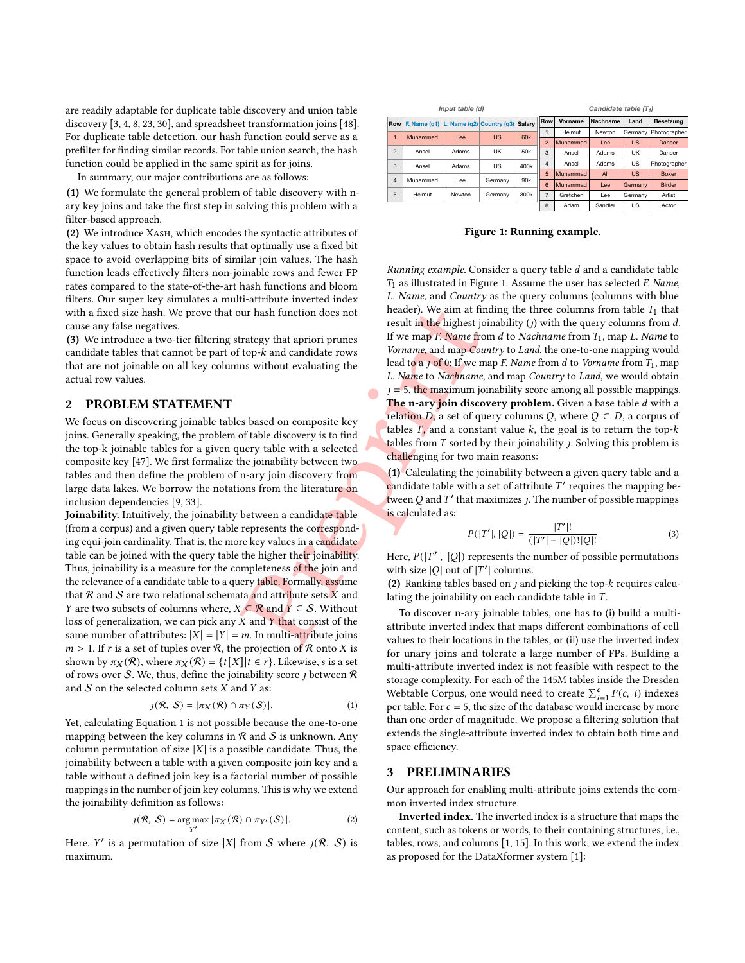are readily adaptable for duplicate table discovery and union table discovery [ [3](#page-11-1) , [4](#page-11-2) , [8](#page-12-20) , [23](#page-12-21) , [30\]](#page-12-4), and spreadsheet transformation joins [\[48\]](#page-12-22). For duplicate table detection, our hash function could serve as a prefilter for finding similar records. For table union search, the hash function could be applied in the same spirit as for joins.

In summary, our major contributions are as follows:

(1) We formulate the general problem of table discovery with nary key joins and take the first step in solving this problem with a filter-based approach.

(2) We introduce Xash, which encodes the syntactic attributes of the key values to obtain hash results that optimally use a fixed bit space to avoid overlapping bits of similar join values. The hash function leads effectively filters non-joinable rows and fewer FP rates compared to the state-of-the-art hash functions and bloom filters. Our super key simulates a multi-attribute inverted index with a fixed size hash. We prove that our hash function does not cause any false negatives.

(3) We introduce a two-tier filtering strategy that apriori prunes candidate tables that cannot be part of top- $k$  and candidate rows that are not joinable on all key columns without evaluating the actual row values.

#### <span id="page-1-3"></span>2 PROBLEM STATEMENT

We focus on discovering joinable tables based on composite key joins. Generally speaking, the problem of table discovery is to find the top-k joinable tables for a given query table with a selected composite key [\[47\]](#page-12-15). We first formalize the joinability between two tables and then define the problem of n-ary join discovery from large data lakes. We borrow the notations from the literature on inclusion dependencies [\[9,](#page-12-23) [33\]](#page-12-24).

but hash function does not<br>
the highest jc<br>
trategy that apriori prunes<br>
If we map *F. Name* from the highest jc<br>
from the highest of<br>
ms without evaluating the<br>
lead to a *j* of 0; If we name and map *Cou*<br>
lead to a *j* Joinability. Intuitively, the joinability between a candidate table (from a corpus) and a given query table represents the corresponding equi-join cardinality. That is, the more key values in a candidate table can be joined with the query table the higher their joinability. Thus, joinability is a measure for the completeness of the join and the relevance of a candidate table to a query table. Formally, assume that  ${\mathcal R}$  and  ${\mathcal S}$  are two relational schemata and attribute sets  $X$  and *Y* are two subsets of columns where,  $X \subseteq \mathcal{R}$  and  $Y \subseteq S$ . Without loss of generalization, we can pick any  $\overline{X}$  and  $\overline{Y}$  that consist of the same number of attributes:  $|X| = |Y| = m$ . In multi-attribute joins  $m > 1$ . If r is a set of tuples over R, the projection of R onto X is shown by  $\pi_X(\mathcal{R})$ , where  $\pi_X(\mathcal{R}) = \{t[X]|t \in r\}$ . Likewise, s is a set of rows over S. We, thus, define the joinability score  $j$  between  $\mathcal R$ and  $S$  on the selected column sets  $X$  and  $Y$  as:

<span id="page-1-0"></span>
$$
j(\mathcal{R}, \mathcal{S}) = |\pi_X(\mathcal{R}) \cap \pi_Y(\mathcal{S})|.
$$
 (1)

Yet, calculating Equation [1](#page-1-0) is not possible because the one-to-one mapping between the key columns in  $\mathcal R$  and  $\mathcal S$  is unknown. Any column permutation of size  $|X|$  is a possible candidate. Thus, the joinability between a table with a given composite join key and a table without a defined join key is a factorial number of possible mappings in the number of join key columns. This is why we extend the joinability definition as follows:

$$
j(\mathcal{R}, \mathcal{S}) = \underset{Y'}{\arg \max} |\pi_X(\mathcal{R}) \cap \pi_{Y'}(\mathcal{S})|.
$$
 (2)

Here, Y' is a permutation of size |X| from S where  $j(\mathcal{R}, S)$  is maximum.

<span id="page-1-1"></span>

|            |                |                                              | Input table (d) |           | Candidate table $(T_1)$ |                |          |          |           |                  |  |  |
|------------|----------------|----------------------------------------------|-----------------|-----------|-------------------------|----------------|----------|----------|-----------|------------------|--|--|
| <b>Row</b> |                | F. Name $(q1)$ L. Name $(q2)$ Country $(q3)$ |                 |           | Salarv                  | Row            | Vorname  | Nachname | Land      | <b>Besetzung</b> |  |  |
|            | 1              |                                              |                 |           | 60k                     |                | Helmut   | Newton   | Germany   | Photographer     |  |  |
|            |                | Muhammad                                     | I ee            | <b>US</b> |                         | $\overline{2}$ | Muhammad | Lee      | <b>US</b> | Dancer           |  |  |
|            | $\mathfrak{p}$ | Ansel                                        | Adams           | UΚ        | 50 <sub>k</sub>         | 3              | Ansel    | Adams    | UK        | Dancer           |  |  |
|            | 3              | Ansel                                        | US<br>Adams     |           | 400k                    | $\overline{4}$ | Ansel    | Adams    | US        | Photographer     |  |  |
|            |                | Muhammad                                     | I ee            | Germany   |                         | 5              | Muhammad | Ali      | <b>US</b> | Boxer            |  |  |
|            | $\overline{4}$ |                                              |                 |           | 90 <sub>k</sub>         | 6              | Muhammad | Lee      | Germany   | <b>Birder</b>    |  |  |
|            | 5              | Helmut                                       | Newton          | Germany   | 300k                    | $\overline{7}$ | Gretchen | Lee      | Germany   | Artist           |  |  |
|            |                |                                              |                 |           |                         | 8              | Adam     | Sandler  | US        | Actor            |  |  |

Figure 1: Running example.

Running example. Consider a query table d and a candidate table  $T_1$  as illustrated in Figure [1.](#page-1-1) Assume the user has selected  $\it F.$  Name, L. Name, and Country as the query columns (columns with blue header). We aim at finding the three columns from table  $T_1$  that result in the highest joinability  $(j)$  with the query columns from  $d$ . If we map F. Name from  $d$  to Nachname from  $T_1$ , map L. Name to Vorname, and map Country to Land, the one-to-one mapping would lead to a  $J$  of 0; If we map F. Name from  $d$  to Vorname from  $T_1$ , map L. Name to Nachname, and map Country to Land, we would obtain  $t = 5$ , the maximum joinability score among all possible mappings. The n-ary join discovery problem. Given a base table d with a relation D, a set of query columns Q, where  $Q \subset D$ , a corpus of tables  $T$ , and a constant value  $k$ , the goal is to return the top- $k$ tables from  $T$  sorted by their joinability  $j$ . Solving this problem is challenging for two main reasons:

(1) Calculating the joinability between a given query table and a candidate table with a set of attribute T' requires the mapping between Q and  $T'$  that maximizes *j*. The number of possible mappings is calculated as:

$$
P(|T'|, |Q|) = \frac{|T'|!}{(|T'| - |Q|)!|Q|!} \tag{3}
$$

Here,  $P(|T'|, |Q|)$  represents the number of possible permutations with size  $|Q|$  out of  $|T'|$  columns.

(2) Ranking tables based on  $j$  and picking the top- $k$  requires calculating the joinability on each candidate table in  $T$ .

To discover n-ary joinable tables, one has to (i) build a multiattribute inverted index that maps different combinations of cell values to their locations in the tables, or (ii) use the inverted index for unary joins and tolerate a large number of FPs. Building a multi-attribute inverted index is not feasible with respect to the storage complexity. For each of the 145M tables inside the Dresden Webtable Corpus, one would need to create  $\sum_{i=1}^{c} P(c, i)$  indexes per table. For  $c = 5$ , the size of the database would increase by more than one order of magnitude. We propose a filtering solution that extends the single-attribute inverted index to obtain both time and space efficiency.

#### <span id="page-1-2"></span>3 PRELIMINARIES

Our approach for enabling multi-attribute joins extends the common inverted index structure.

Inverted index. The inverted index is a structure that maps the content, such as tokens or words, to their containing structures, i.e., tables, rows, and columns [ [1](#page-11-0) , [15\]](#page-12-0). In this work, we extend the index as proposed for the DataXformer system [\[1\]](#page-11-0):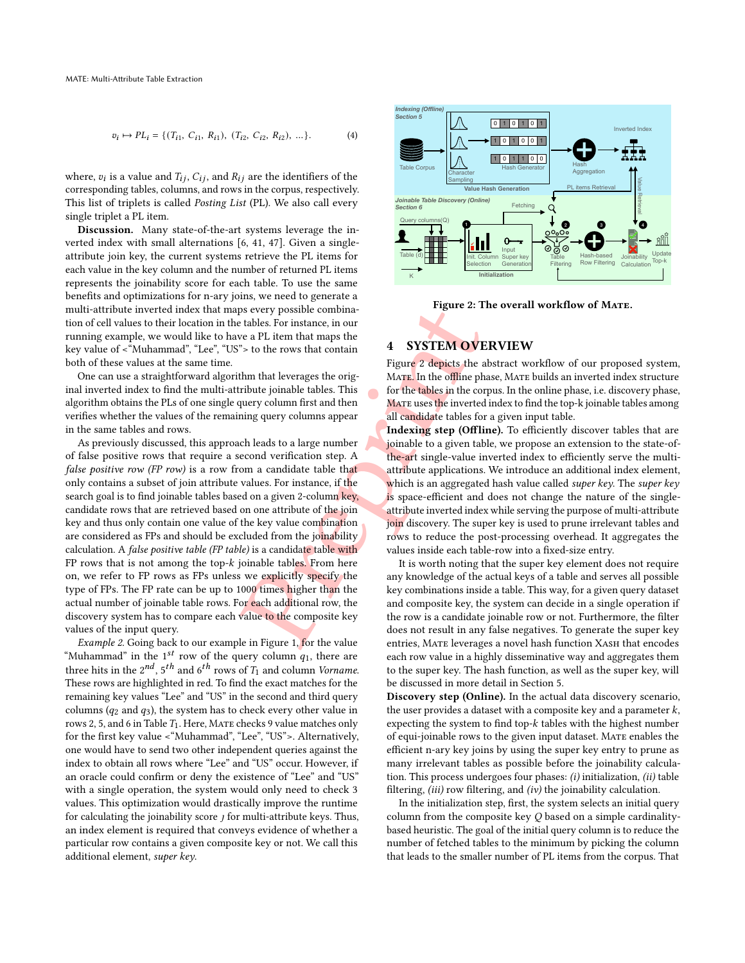<span id="page-2-1"></span>
$$
v_i \mapsto PL_i = \{ (T_{i1}, C_{i1}, R_{i1}), (T_{i2}, C_{i2}, R_{i2}), \dots \}.
$$
 (4)

where,  $v_i$  is a value and  $T_{ij}$ ,  $C_{ij}$ , and  $R_{ij}$  are the identifiers of the corresponding tables, columns, and rows in the corpus, respectively. This list of triplets is called Posting List (PL). We also call every single triplet a PL item.

Discussion. Many state-of-the-art systems leverage the inverted index with small alternations [\[6,](#page-12-9) [41,](#page-12-14) [47\]](#page-12-15). Given a singleattribute join key, the current systems retrieve the PL items for each value in the key column and the number of returned PL items represents the joinability score for each table. To use the same benefits and optimizations for n-ary joins, we need to generate a multi-attribute inverted index that maps every possible combination of cell values to their location in the tables. For instance, in our running example, we would like to have a PL item that maps the key value of <"Muhammad", "Lee", "US"> to the rows that contain both of these values at the same time.

One can use a straightforward algorithm that leverages the original inverted index to find the multi-attribute joinable tables. This algorithm obtains the PLs of one single query column first and then verifies whether the values of the remaining query columns appear in the same tables and rows.

Example the same of the value of the composite the same of the value of the composite of the same of the same of the same of the same of the same of the same of the same of the same of the same of the same of the same of As previously discussed, this approach leads to a large number of false positive rows that require a second verification step. A false positive row (FP row) is a row from a candidate table that only contains a subset of join attribute values. For instance, if the search goal is to find joinable tables based on a given 2-column key, candidate rows that are retrieved based on one attribute of the join key and thus only contain one value of the key value combination are considered as FPs and should be excluded from the joinability calculation. A false positive table (FP table) is a candidate table with FP rows that is not among the top-k joinable tables. From here on, we refer to FP rows as FPs unless we explicitly specify the type of FPs. The FP rate can be up to 1000 times higher than the actual number of joinable table rows. For each additional row, the discovery system has to compare each value to the composite key values of the input query.

Example 2. Going back to our example in Figure 1, for the value "Muhammad" in the 1<sup>st</sup> row of the query column  $q_1$ , there are three hits in the  $2^{nd}$ ,  $5^{th}$  and  $6^{th}$  rows of  $T_1$  and column *Vorname*. These rows are highlighted in red. To find the exact matches for the remaining key values "Lee" and "US" in the second and third query columns  $(q_2 \text{ and } q_3)$ , the system has to check every other value in rows 2, 5, and 6 in Table  $T_1$ . Here, MATE checks 9 value matches only for the first key value <"Muhammad", "Lee", "US">. Alternatively, one would have to send two other independent queries against the index to obtain all rows where "Lee" and "US" occur. However, if an oracle could confirm or deny the existence of "Lee" and "US" with a single operation, the system would only need to check 3 values. This optimization would drastically improve the runtime for calculating the joinability score *j* for multi-attribute keys. Thus, an index element is required that conveys evidence of whether a particular row contains a given composite key or not. We call this additional element, *super key*.

<span id="page-2-0"></span>

Figure 2: The overall workflow of MATE.

## 4 SYSTEM OVERVIEW

Figure 2 depicts the abstract workflow of our proposed system, MATE. In the offline phase, MATE builds an inverted index structure for the tables in the corpus. In the online phase, i.e. discovery phase, MATE uses the inverted index to find the top-k joinable tables among all candidate tables for a given input table.

Indexing step (Offline). To efficiently discover tables that are joinable to a given table, we propose an extension to the state-ofthe-art single-value inverted index to efficiently serve the multiattribute applications. We introduce an additional index element, which is an aggregated hash value called *super key*. The *super key* is space-efficient and does not change the nature of the singleattribute inverted index while serving the purpose of multi-attribute join discovery. The super key is used to prune irrelevant tables and rows to reduce the post-processing overhead. It aggregates the values inside each table-row into a fixed-size entry.

It is worth noting that the super key element does not require any knowledge of the actual keys of a table and serves all possible key combinations inside a table. This way, for a given query dataset and composite key, the system can decide in a single operation if the row is a candidate joinable row or not. Furthermore, the filter does not result in any false negatives. To generate the super key entries, MATE leverages a novel hash function XASH that encodes each row value in a highly disseminative way and aggregates them to the super key. The hash function, as well as the super key, will be discussed in more detail in Section [5.](#page-3-0)

Discovery step (Online). In the actual data discovery scenario, the user provides a dataset with a composite key and a parameter  $k$ , expecting the system to find top- $k$  tables with the highest number of equi-joinable rows to the given input dataset. MATE enables the efficient n-ary key joins by using the super key entry to prune as many irrelevant tables as possible before the joinability calculation. This process undergoes four phases: (i) initialization, (ii) table filtering,  $(iii)$  row filtering, and  $(iv)$  the joinability calculation.

In the initialization step, first, the system selects an initial query column from the composite key Q based on a simple cardinalitybased heuristic. The goal of the initial query column is to reduce the number of fetched tables to the minimum by picking the column that leads to the smaller number of PL items from the corpus. That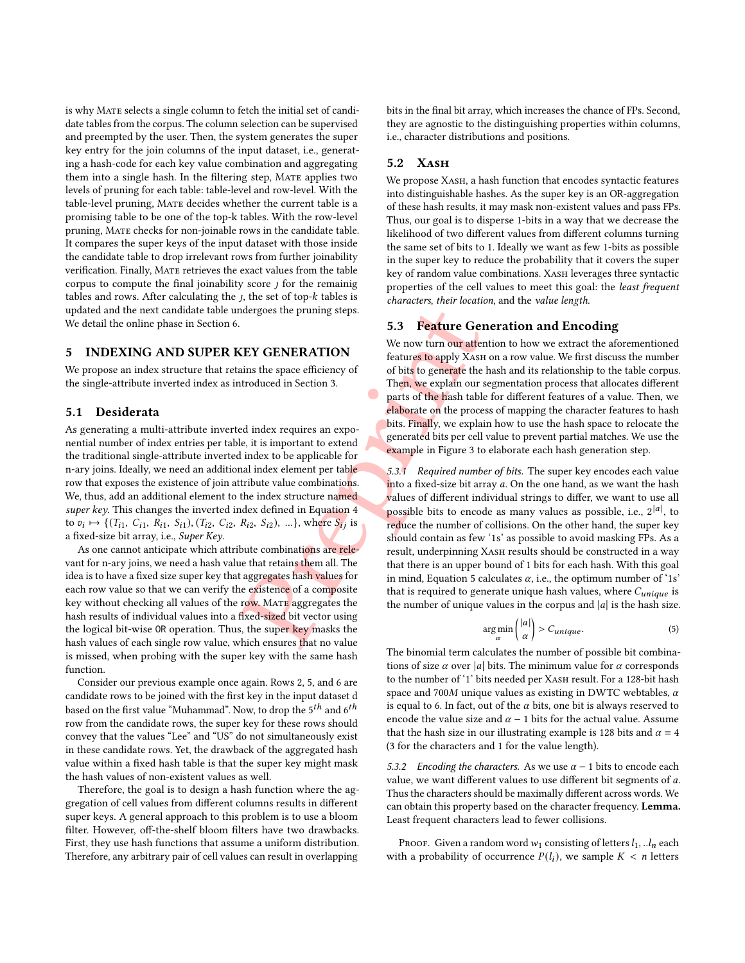is why Mate selects a single column to fetch the initial set of candidate tables from the corpus. The column selection can be supervised and preempted by the user. Then, the system generates the super key entry for the join columns of the input dataset, i.e., generating a hash-code for each key value combination and aggregating them into a single hash. In the filtering step, MATE applies two levels of pruning for each table: table-level and row-level. With the table-level pruning, Mate decides whether the current table is a promising table to be one of the top-k tables. With the row-level pruning, Mate checks for non-joinable rows in the candidate table. It compares the super keys of the input dataset with those inside the candidate table to drop irrelevant rows from further joinability verification. Finally, Mate retrieves the exact values from the table corpus to compute the final joinability score  $j$  for the remainig tables and rows. After calculating the  $j$ , the set of top- $k$  tables is updated and the next candidate table undergoes the pruning steps. We detail the online phase in Section [6.](#page-5-0)

#### <span id="page-3-0"></span>5 INDEXING AND SUPER KEY GENERATION

We propose an index structure that retains the space efficiency of the single-attribute inverted index as introduced in Section 3.

### <span id="page-3-2"></span>5.1 Desiderata

As generating a multi-attribute inverted index requires an exponential number of index entries per table, it is important to extend the traditional single-attribute inverted index to be applicable for n-ary joins. Ideally, we need an additional index element per table row that exposes the existence of join attribute value combinations. We, thus, add an additional element to the index structure named super key. This changes the inverted index defined in Equation 4 to  $v_i \mapsto \{(T_{i1}, C_{i1}, R_{i1}, S_{i1}), (T_{i2}, C_{i2}, R_{i2}, S_{i2}), \ldots\}$ , where  $S_{ij}$  is a fixed-size bit array, i.e., *Super Key*.

As one cannot anticipate which attribute combinations are relevant for n-ary joins, we need a hash value that retains them all. The idea is to have a fixed size super key that aggregates hash values for each row value so that we can verify the existence of a composite key without checking all values of the row. MATE aggregates the hash results of individual values into a fixed-sized bit vector using the logical bit-wise OR operation. Thus, the super key masks the hash values of each single row value, which ensures that no value is missed, when probing with the super key with the same hash function.

Consider our previous example once again. Rows 2 , 5, and 6 are candidate rows to be joined with the first key in the input dataset d based on the first value "Muhammad". Now, to drop the  $5^{th}$  and  $6^{th}$ row from the candidate rows, the super key for these rows should convey that the values "Lee" and "US" do not simultaneously exist in these candidate rows. Yet, the drawback of the aggregated hash value within a fixed hash table is that the super key might mask the hash values of non-existent values as well.

Therefore, the goal is to design a hash function where the aggregation of cell values from different columns results in different super keys. A general approach to this problem is to use a bloom filter. However, off-the-shelf bloom filters have two drawbacks. First, they use hash functions that assume a uniform distribution. Therefore, any arbitrary pair of cell values can result in overlapping

bits in the final bit array, which increases the chance of FPs. Second, they are agnostic to the distinguishing properties within columns, i.e., character distributions and positions.

#### 5.2 XASH

We propose XASH, a hash function that encodes syntactic features into distinguishable hashes. As the super key is an OR-aggregation of these hash results, it may mask non-existent values and pass FPs. Thus, our goal is to disperse 1-bits in a way that we decrease the likelihood of two different values from different columns turning the same set of bits to 1. Ideally we want as few 1-bits as possible in the super key to reduce the probability that it covers the super key of random value combinations. XASH leverages three syntactic properties of the cell values to meet this goal: the least frequent characters , their location, and the value length .

## 5.3 Feature Generation and Encoding

We now turn our attention to how we extract the aforementioned features to apply Xash on a row value. We first discuss the number of bits to generate the hash and its relationship to the table corpus. Then, we explain our segmentation process that allocates different parts of the hash table for different features of a value. Then, we elaborate on the process of mapping the character features to hash bits. Finally, we explain how to use the hash space to relocate the generated bits per cell value to prevent partial matches. We use the example in Figure 3 to elaborate each hash generation step.

relationships and the same of the same of the same of the same of the same of the same of the same of the same of the same of the same of the same of the same of the same of the same of the same of the same of the same of 5.3.1 Required number of bits. The super key encodes each value into a fixed-size bit array a. On the one hand, as we want the hash values of different individual strings to differ, we want to use all possible bits to encode as many values as possible, i.e.,  $2^{|a|}$ , to reduce the number of collisions. On the other hand, the super key should contain as few ' 1s' as possible to avoid masking FPs. As a result, underpinning XASH results should be constructed in a way that there is an upper bound of 1 bits for each hash. With this goal in mind, Equation 5 calculates  $\alpha$ , i.e., the optimum number of '1s' that is required to generate unique hash values, where  $C_{unique}$  is the number of unique values in the corpus and  $|a|$  is the hash size.

<span id="page-3-1"></span>
$$
\underset{\alpha}{\arg\min} \binom{|a|}{\alpha} > C_{unique}.\tag{5}
$$

The binomial term calculates the number of possible bit combinations of size  $\alpha$  over |a| bits. The minimum value for  $\alpha$  corresponds to the number of '1' bits needed per Хаѕн result. For a 128-bit hash space and 700M unique values as existing in DWTC webtables,  $\alpha$ is equal to 6. In fact, out of the  $\alpha$  bits, one bit is always reserved to encode the value size and  $\alpha - 1$  bits for the actual value. Assume that the hash size in our illustrating example is 128 bits and  $\alpha = 4$ ( 3 for the characters and 1 for the value length).

5.3.2 Encoding the characters. As we use  $\alpha - 1$  bits to encode each value, we want different values to use different bit segments of a. Thus the characters should be maximally different across words. We can obtain this property based on the character frequency. Lemma. Least frequent characters lead to fewer collisions.

Proof. Given a random word  $w_1$  consisting of letters  $l_1, ... l_n$  each with a probability of occurrence  $P(l_i)$ , we sample  $K < n$  letters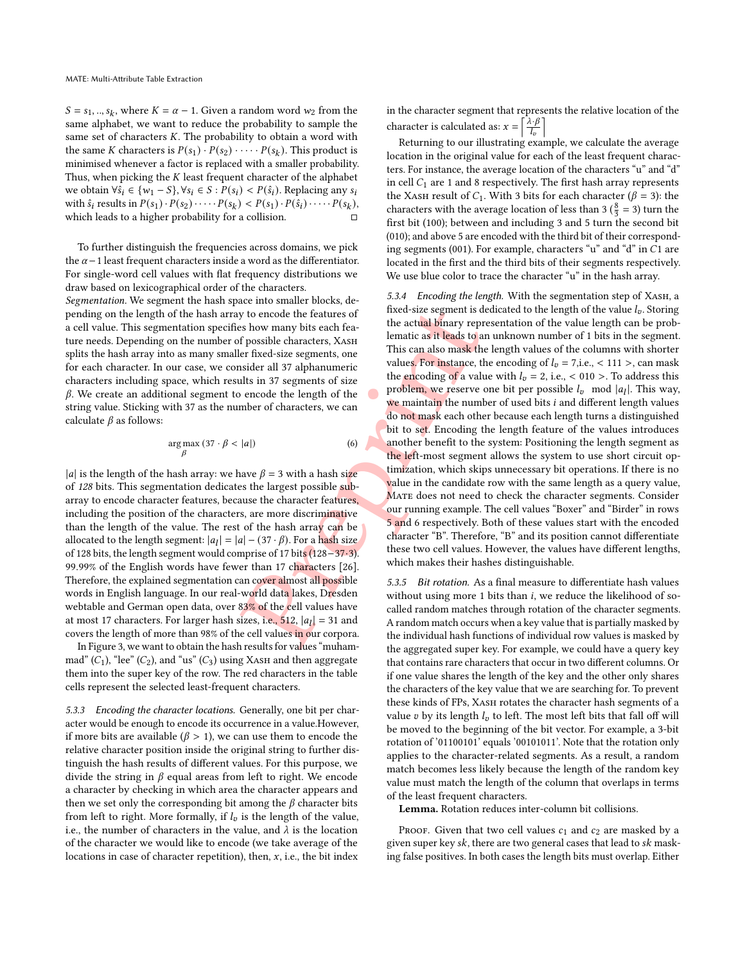$S = s_1, ..., s_k$ , where  $K = \alpha - 1$ . Given a random word  $w_2$  from the same alphabet, we want to reduce the probability to sample the same set of characters K. The probability to obtain a word with the same K characters is  $P(s_1) \cdot P(s_2) \cdot \cdots \cdot P(s_k)$ . This product is minimised whenever a factor is replaced with a smaller probability. Thus, when picking the  $K$  least frequent character of the alphabet we obtain  $\forall \hat{s_i} \in \{w_1 - S\}, \forall s_i \in S : P(s_i) < P(\hat{s_i})$ . Replacing any  $s_i$ with  $\hat{s}_i$  results in  $P(s_1) \cdot P(s_2) \cdot \cdot \cdot \cdot P(s_k) < P(s_1) \cdot P(\hat{s}_i) \cdot \cdot \cdot \cdot P(s_k)$ , which leads to a higher probability for a collision. ー<br>ロ

To further distinguish the frequencies across domains, we pick the  $\alpha$  – 1 least frequent characters inside a word as the differentiator. For single-word cell values with flat frequency distributions we draw based on lexicographical order of the characters.

Segmentation. We segment the hash space into smaller blocks, depending on the length of the hash array to encode the features of a cell value. This segmentation specifies how many bits each feature needs. Depending on the number of possible characters, XASH splits the hash array into as many smaller fixed-size segments, one for each character. In our case, we consider all 37 alphanumeric characters including space, which results in 37 segments of size  $\beta$ . We create an additional segment to encode the length of the string value. Sticking with 37 as the number of characters, we can calculate  $\beta$  as follows:

$$
\underset{\beta}{\arg\max} (37 \cdot \beta < |a|) \tag{6}
$$

|a| is the length of the hash array: we have  $\beta = 3$  with a hash size of 128 bits. This segmentation dedicates the largest possible subarray to encode character features, because the character features, including the position of the characters, are more discriminative than the length of the value. The rest of the hash array can be allocated to the length segment:  $|a_l| = |a| - (37 \cdot \beta)$ . For a hash size of 128 bits, the length segment would comprise of 17 bits (128-37·3). 99.99% of the English words have fewer than 17 characters [26]. Therefore, the explained segmentation can cover almost all possible words in English language. In our real-world data lakes, Dresden webtable and German open data, over 83% of the cell values have at most 17 characters. For larger hash sizes, i.e.,  $512$ ,  $|a_l| = 31$  and covers the length of more than 98% of the cell values in our corpora.

In Figure [3,](#page-5-1) we want to obtain the hash results for values "muhammad"  $(C_1)$ , "lee"  $(C_2)$ , and "us"  $(C_3)$  using XASH and then aggregate them into the super key of the row. The red characters in the table cells represent the selected least-frequent characters.

5.3.3 Encoding the character locations. Generally, one bit per character would be enough to encode its occurrence in a value.However, if more bits are available ( $\beta > 1$ ), we can use them to encode the relative character position inside the original string to further distinguish the hash results of different values. For this purpose, we divide the string in  $\beta$  equal areas from left to right. We encode a character by checking in which area the character appears and then we set only the corresponding bit among the  $\beta$  character bits from left to right. More formally, if  $l_v$  is the length of the value, i.e., the number of characters in the value, and  $\lambda$  is the location of the character we would like to encode (we take average of the locations in case of character repetition), then,  $x$ , i.e., the bit index

in the character segment that represents the relative location of the character is calculated as:  $x = \left[\frac{\lambda \cdot \beta}{L}\right]$  $\overline{l}_v$ m

Returning to our illustrating example, we calculate the average location in the original value for each of the least frequent characters. For instance, the average location of the characters "u" and "d" in cell  $C_1$  are 1 and 8 respectively. The first hash array represents the XASH result of  $C_1$ . With 3 bits for each character ( $\beta = 3$ ): the characters with the average location of less than 3 ( $\frac{8}{3}$  = 3) turn the first bit (100); between and including 3 and 5 turn the second bit (010); and above 5 are encoded with the third bit of their corresponding segments (001). For example, characters "u" and "d" in  $C1$  are located in the first and the third bits of their segments respectively. We use blue color to trace the character "u" in the hash array.

problem to the same the same of the same of the same the same the same of the same the same of the same of the same of the same of characters, we can be encode the length of the same of characters, we can be encoding of a 5.3.4 Encoding the length. With the segmentation step of XASH, a fixed-size segment is dedicated to the length of the value  $l_v$ . Storing the actual binary representation of the value length can be problematic as it leads to an unknown number of 1 bits in the segment. This can also mask the length values of the columns with shorter values. For instance, the encoding of  $l_v = 7$ , i.e., < 111 >, can mask the encoding of a value with  $l_v = 2$ , i.e., < 010 >. To address this problem, we reserve one bit per possible  $l_v$  mod  $|a_l|$ . This way, we maintain the number of used bits *i* and different length values do not mask each other because each length turns a distinguished bit to set. Encoding the length feature of the values introduces another benefit to the system: Positioning the length segment as the left-most segment allows the system to use short circuit optimization, which skips unnecessary bit operations. If there is no value in the candidate row with the same length as a query value, MATE does not need to check the character segments. Consider our running example. The cell values "Boxer" and "Birder" in rows 5 and 6 respectively. Both of these values start with the encoded character "B". Therefore, "B" and its position cannot differentiate these two cell values. However, the values have different lengths, which makes their hashes distinguishable.

5.3.5 Bit rotation. As a final measure to differentiate hash values without using more 1 bits than *i*, we reduce the likelihood of socalled random matches through rotation of the character segments. A random match occurs when a key value that is partially masked by the individual hash functions of individual row values is masked by the aggregated super key. For example, we could have a query key that contains rare characters that occur in two different columns. Or if one value shares the length of the key and the other only shares the characters of the key value that we are searching for. To prevent these kinds of FPs, XASH rotates the character hash segments of a value  $v$  by its length  $l_v$  to left. The most left bits that fall off will be moved to the beginning of the bit vector. For example, a 3-bit rotation of '01100101' equals '00101011'. Note that the rotation only applies to the character-related segments. As a result, a random match becomes less likely because the length of the random key value must match the length of the column that overlaps in terms of the least frequent characters.

Lemma. Rotation reduces inter-column bit collisions.

Proof. Given that two cell values  $c_1$  and  $c_2$  are masked by a given super key  $sk$ , there are two general cases that lead to  $sk$  masking false positives. In both cases the length bits must overlap. Either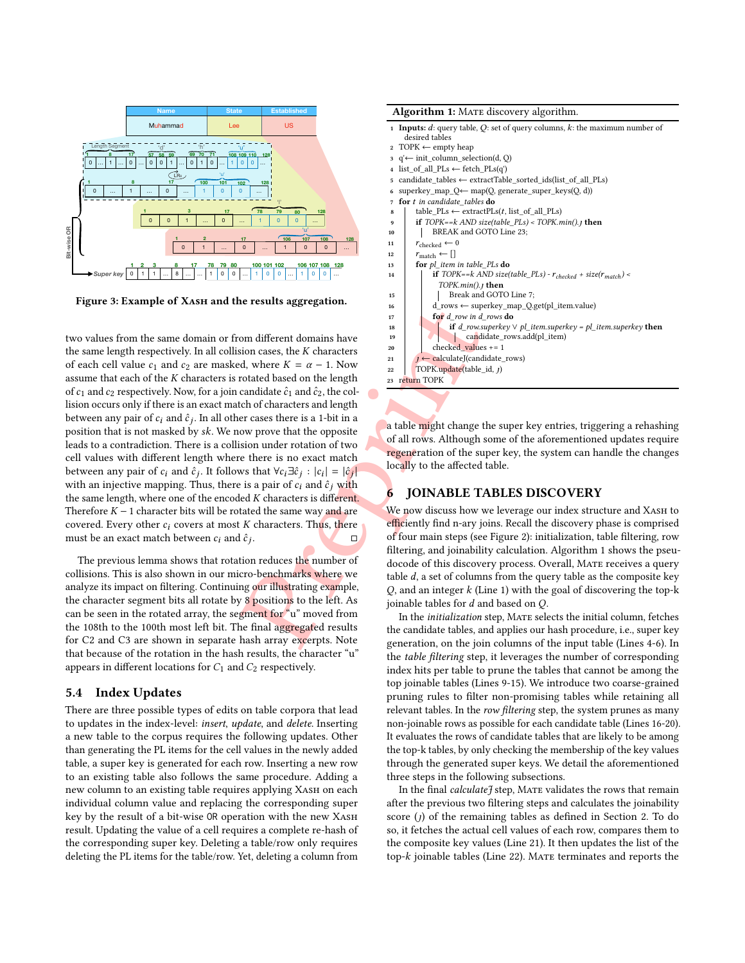<span id="page-5-1"></span>

Figure 3: Example of XASH and the results aggregation.

For drow in different domains have<br>
on different domains have<br>
down asses, the K characters<br>
d, where  $K = \alpha - 1$ . Now<br>
candidate  $\hat{c}_1$  and  $\hat{c}_2$ , the column of the set of the leads on the length<br>
candidate  $\hat{c}_1$  a two values from the same domain or from different domains have the same length respectively. In all collision cases, the  $K$  characters of each cell value  $c_1$  and  $c_2$  are masked, where  $K = \alpha - 1$ . Now assume that each of the  $K$  characters is rotated based on the length of  $c_1$  and  $c_2$  respectively. Now, for a join candidate  $\hat{c}_1$  and  $\hat{c}_2$ , the collision occurs only if there is an exact match of characters and length between any pair of  $c_i$  and  $\hat{c}_j$ . In all other cases there is a 1-bit in a position that is not masked by  $sk$ . We now prove that the opposite leads to a contradiction. There is a collision under rotation of two cell values with different length where there is no exact match between any pair of  $c_i$  and  $\hat{c}_j$ . It follows that  $\forall c_i \exists \hat{c}_j : |c_i| = |\hat{c}_j|$ with an injective mapping. Thus, there is a pair of  $c_i$  and  $\hat{c}_j$  with the same length, where one of the encoded  $K$  characters is different. Therefore  $K - 1$  character bits will be rotated the same way and are covered. Every other  $c_i$  covers at most  $K$  characters. Thus, there must be an exact match between  $c_i$  and  $\hat{c}_j$ . □

The previous lemma shows that rotation reduces the number of collisions. This is also shown in our micro-benchmarks where we analyze its impact on filtering. Continuing our illustrating example, the character segment bits all rotate by 8 position<mark>s</mark> to the left. As can be seen in the rotated array, the segment for "u" moved from the 108th to the 100th most left bit. The final aggregated results for C2 and C3 are shown in separate hash array excerpts. Note that because of the rotation in the hash results, the character "u" appears in different locations for  $C_1$  and  $C_2$  respectively.

#### 5.4 Index Updates

There are three possible types of edits on table corpora that lead to updates in the index-level: insert, update, and delete. Inserting a new table to the corpus requires the following updates. Other than generating the PL items for the cell values in the newly added table, a super key is generated for each row. Inserting a new row to an existing table also follows the same procedure. Adding a new column to an existing table requires applying XASH on each individual column value and replacing the corresponding super key by the result of a bit-wise OR operation with the new Xash result. Updating the value of a cell requires a complete re-hash of the corresponding super key. Deleting a table/row only requires deleting the PL items for the table/row. Yet, deleting a column from

<span id="page-5-19"></span><span id="page-5-17"></span><span id="page-5-16"></span><span id="page-5-15"></span><span id="page-5-14"></span><span id="page-5-8"></span><span id="page-5-7"></span><span id="page-5-6"></span><span id="page-5-5"></span><span id="page-5-3"></span>

| <b>Algorithm 1:</b> MATE discovery algorithm.                                      |
|------------------------------------------------------------------------------------|
| <b>1</b> Inputs: d: query table, Q: set of query columns, k: the maximum number of |
| desired tables                                                                     |
| $TOPK \leftarrow \text{empty heap}$<br>$\overline{2}$                              |
| $q' \leftarrow init_{column\_selection(d, Q)}$<br>3                                |
| list of all $PLs \leftarrow$ fetch $PLs(q')$<br>$\overline{\mathbf{4}}$            |
| candidate tables $\leftarrow$ extractTable sorted ids(list of all PLs)<br>5        |
| superkey_map_Q← map(Q, generate_super_keys(Q, d))<br>6                             |
| for t in candidate tables do<br>7                                                  |
| table $PLs \leftarrow extractPLs(t, list of all PLs)$<br>8                         |
| if $TOPK == k AND size(table PLs) < TOPK.min().$<br>9                              |
| BREAK and GOTO Line 23;<br>10                                                      |
| $r_{\text{checked}} \leftarrow 0$<br>11                                            |
| $r_{\text{match}} \leftarrow \Box$<br>12                                           |
| for pl item in table PLs do<br>13                                                  |
| if TOPK== $k$ AND size(table_PLs) - $r_{checked}$ + size( $r_{match}$ ) <<br>14    |
| $TOPK.min().$ , then                                                               |
| Break and GOTO Line 7;<br>15                                                       |
| d rows $\leftarrow$ superkey map Q.get(pl item.value)<br>16                        |
| for <i>d</i> row in <i>d</i> rows <b>do</b><br>17                                  |
| if $d_{\text{row}}$ superkey $\vee$ pl_item.superkey = pl_item.superkey then<br>18 |
| candidate_rows.add(pl_item)<br>19                                                  |
| checked_values $+= 1$<br>20                                                        |
| $j \leftarrow$ calculateJ(candidate_rows)<br>21                                    |
| TOPK.update(table_id, j)<br>22                                                     |
| return TOPK<br>23                                                                  |
|                                                                                    |
|                                                                                    |

<span id="page-5-22"></span><span id="page-5-21"></span><span id="page-5-20"></span><span id="page-5-18"></span><span id="page-5-13"></span><span id="page-5-12"></span><span id="page-5-11"></span><span id="page-5-10"></span><span id="page-5-9"></span><span id="page-5-4"></span><span id="page-5-2"></span>a table might change the super key entries, triggering a rehashing of all rows. Although some of the aforementioned updates require regeneration of the super key, the system can handle the changes locally to the affected table.

## <span id="page-5-0"></span>6 JOINABLE TABLES DISCOVERY

We now discuss how we leverage our index structure and XASH to efficiently find n-ary joins. Recall the discovery phase is comprised of four main steps (see Figure [2\)](#page-2-0): initialization, table filtering, row filtering, and joinability calculation. Algorithm [1](#page-5-4) shows the pseudocode of this discovery process. Overall, Mate receives a query table  $d$ , a set of columns from the query table as the composite key  $Q$ , and an integer  $k$  (Line [1\)](#page-5-5) with the goal of discovering the top- $k$ joinable tables for  $d$  and based on  $Q$ .

In the initialization step, Mate selects the initial column, fetches the candidate tables, and applies our hash procedure, i.e., super key generation, on the join columns of the input table (Lines [4](#page-5-6)[-6\)](#page-5-7). In the table filtering step, it leverages the number of corresponding index hits per table to prune the tables that cannot be among the top joinable tables (Lines [9-](#page-5-8)[15\)](#page-5-9). We introduce two coarse-grained pruning rules to filter non-promising tables while retaining all relevant tables. In the row filtering step, the system prunes as many non-joinable rows as possible for each candidate table (Lines [16-](#page-5-10)[20\)](#page-5-11). It evaluates the rows of candidate tables that are likely to be among the top-k tables, by only checking the membership of the key values through the generated super keys. We detail the aforementioned three steps in the following subsections.

In the final calculateJ step, MATE validates the rows that remain after the previous two filtering steps and calculates the joinability score (*j*) of the remaining tables as defined in Section [2.](#page-1-3) To do so, it fetches the actual cell values of each row, compares them to the composite key values (Line [21\)](#page-5-12). It then updates the list of the top-k joinable tables (Line [22\)](#page-5-13). MATE terminates and reports the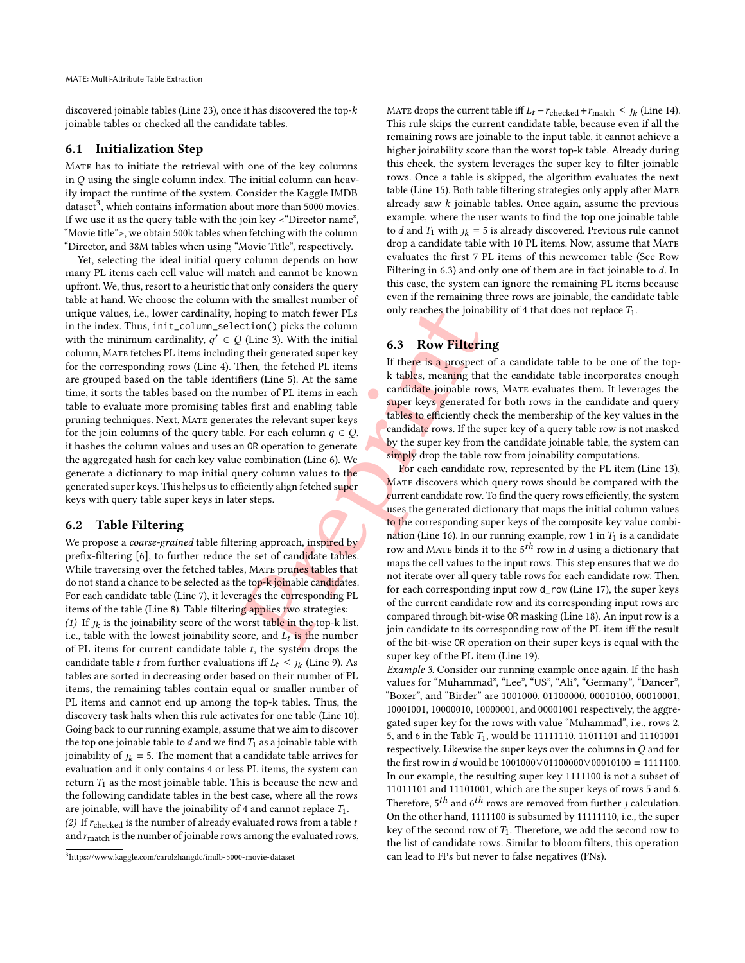discovered joinable tables (Line [23\)](#page-5-2), once it has discovered the top- $\overline{k}$ joinable tables or checked all the candidate tables.

### 6.1 Initialization Step

Mate has to initiate the retrieval with one of the key columns in  $Q$  using the single column index. The initial column can heavily impact the runtime of the system. Consider the Kaggle IMDB dataset $^3$  $^3$ , which contains information about more than 5000 movies. If we use it as the query table with the join key <"Director name", "Movie title">, we obtain 500k tables when fetching with the column "Director, and 38M tables when using "Movie Title", respectively.

Pre[p](#page-5-7)rint Yet, selecting the ideal initial query column depends on how many PL items each cell value will match and cannot be known upfront. We, thus, resort to a heuristic that only considers the query table at hand. We choose the column with the smallest number of unique values, i.e., lower cardinality, hoping to match fewer PLs in the index. Thus, init\_column\_selection() picks the column with the minimum cardinality,  $q' \in Q$  (Line 3). With the initial column, Mate fetches PL items including their generated super key for the corresponding rows (Line [4\)](#page-5-6). Then, the fetched PL items are grouped based on the table identifiers (Line 5). At the same time, it sorts the tables based on the number of PL items in each table to evaluate more promising tables first and enabling table pruning techniques. Next, Mate generates the relevant super keys for the join columns of the query table. For each column  $q \in Q$ , it hashes the column values and uses an OR operation to generate the aggregated hash for each key value combination (Line 6). We generate a dictionary to map initial query column values to the generated super keys. This helps us to efficiently align fetched super keys with query table super keys in later steps.

### 6.2 Table Filtering

We propose a coarse-grained table filtering approach, inspired by prefix-filtering [[6\]](#page-12-9), to further reduce the set of candidate tables. While traversing over the fetched tables, MATE prunes tables that do not stand a chance to be selected as the top-k joinable candidates. For each candidate table (Line [7\)](#page-5-3), it leverages the corresponding PL items of the table (Line [8\)](#page-5-16). Table filtering applies two strategies: (1) If  $J_k$  is the joinability score of the worst table in the top-k list, i.e., table with the lowest joinability score, and  $L_t$  is the number of PL items for current candidate table  $t$ , the system drops the candidate table *t* from further evaluations iff  $L_t \leq j_k$  (Line [9\)](#page-5-8). As tables are sorted in decreasing order based on their number of PL items, the remaining tables contain equal or smaller number of PL items and cannot end up among the top-k tables. Thus, the discovery task halts when this rule activates for one table (Line [10\)](#page-5-17). Going back to our running example, assume that we aim to discover the top one joinable table to  $d$  and we find  $T_1$  as a joinable table with joinability of  $j_k = 5$ . The moment that a candidate table arrives for evaluation and it only contains 4 or less PL items, the system can return  $T_1$  as the most joinable table. This is because the new and the following candidate tables in the best case, where all the rows are joinable, will have the joinability of 4 and cannot replace  $T_1$ . (2) If  $r_{\text{checked}}$  is the number of already evaluated rows from a table  $t$ and  $r_{\rm match}$  is the number of joinable rows among the evaluated rows,

MATE drops the current table iff  $L_t - r_{\text{checked}} + r_{\text{match}} \leq j_k$  (Line [14\)](#page-5-18). This rule skips the current candidate table, because even if all the remaining rows are joinable to the input table, it cannot achieve a higher joinability score than the worst top-k table. Already during this check, the system leverages the super key to filter joinable rows. Once a table is skipped, the algorithm evaluates the next table (Line [15\)](#page-5-9). Both table filtering strategies only apply after MATE already saw  $k$  joinable tables. Once again, assume the previous example, where the user wants to find the top one joinable table to *d* and  $T_1$  with  $j_k = 5$  is already discovered. Previous rule cannot drop a candidate table with 10 PL items. Now, assume that MATE evaluates the first 7 PL items of this newcomer table (See Row Filtering in [6.3\)](#page-6-1) and only one of them are in fact joinable to d. In this case, the system can ignore the remaining PL items because even if the remaining three rows are joinable, the candidate table only reaches the joinability of 4 that does not replace  $T_1$ .

# <span id="page-6-1"></span>6.3 Row Filtering

If there is a prospect of a candidate table to be one of the topk tables, meaning that the candidate table incorporates enough candidate joinable rows, Mate evaluates them. It leverages the super keys generated for both rows in the candidate and query tables to efficiently check the membership of the key values in the candidate rows. If the super key of a query table row is not masked by the super key from the candidate joinable table, the system can simply drop the table row from joinability computations.

For each candidate row, represented by the PL item (Line [13\)](#page-5-19), Mate discovers which query rows should be compared with the current candidate row. To find the query rows efficiently, the system uses the generated dictionary that maps the initial column values to the corresponding super keys of the composite key value combination (Line 16). In our running example, row 1 in  $T_1$  is a candidate row and MATE binds it to the  $5^{th}$  row in  $d$  using a dictionary that maps the cell values to the input rows. This step ensures that we do not iterate over all query table rows for each candidate row. Then, for each corresponding input row d\_row (Line [17\)](#page-5-20), the super keys of the current candidate row and its corresponding input rows are compared through bit-wise OR masking (Line [18\)](#page-5-21). An input row is a join candidate to its corresponding row of the PL item iff the result of the bit-wise OR operation on their super keys is equal with the super key of the PL item (Line [19\)](#page-5-22).

Example 3. Consider our running example once again. If the hash values for "Muhammad", "Lee", "US", "Ali", "Germany", "Dancer", "Boxer", and "Birder" are 1001000 , 01100000 , 00010100 , 00010001 , 10001001 , 10000010 , 10000001, and 00001001 respectively, the aggregated super key for the rows with value "Muhammad", i.e., rows 2, 5, and 6 in the Table  $T_1$ , would be 11111110, 11011101 and 11101001 respectively. Likewise the super keys over the columns in  $\overline{Q}$  and for the first row in d would be  $1001000 \vee 01100000 \vee 00010100 = 1111100$ . In our example, the resulting super key 1111100 is not a subset of 11011101 and 11101001, which are the super keys of rows 5 and 6 . Therefore,  $5^{th}$  and  $6^{th}$  rows are removed from further *j* calculation. On the other hand, 1111100 is subsumed by 11111110, i.e., the super key of the second row of  $T_1$ . Therefore, we add the second row to the list of candidate rows. Similar to bloom filters, this operation can lead to FPs but never to false negatives (FNs).

<span id="page-6-0"></span><sup>3</sup><https://www.kaggle.com/carolzhangdc/imdb-5000-movie-dataset>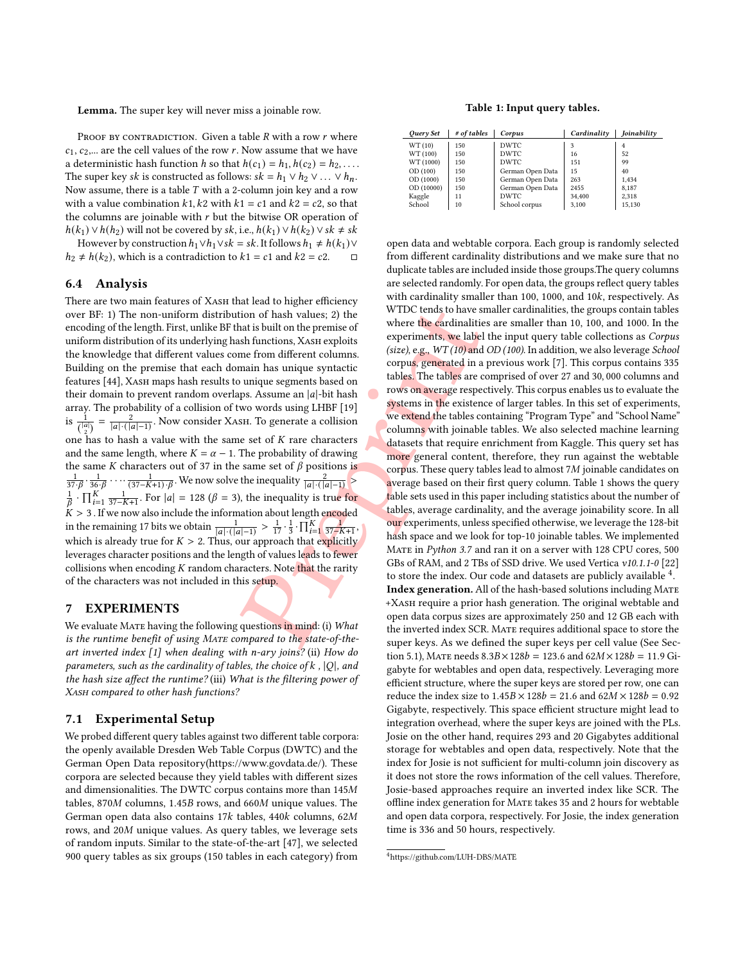Lemma. The super key will never miss a joinable row.

PROOF BY CONTRADICTION. Given a table  $R$  with a row  $r$  where  $c_1, c_2, \ldots$  are the cell values of the row r. Now assume that we have a deterministic hash function *h* so that  $h(c_1) = h_1, h(c_2) = h_2, \ldots$ The super key sk is constructed as follows:  $sk = h_1 \vee h_2 \vee \ldots \vee h_n$ . Now assume, there is a table  $T$  with a 2-column join key and a row with a value combination  $k1$ ,  $k2$  with  $k1 = c1$  and  $k2 = c2$ , so that the columns are joinable with  $r$  but the bitwise OR operation of  $h(k_1) \vee h(h_2)$  will not be covered by sk, i.e.,  $h(k_1) \vee h(k_2) \vee s k \neq s k$ 

However by construction  $h_1 \vee h_1 \vee sk$  = sk. It follows  $h_1 \neq h(k_1) \vee k_2$  $h_2 \neq h(k_2)$ , which is a contradiction to  $k_1 = c_1$  and  $k_2 = c_2$ . □

#### 6.4 Analysis

Fraction of hash values; 2) the WTDC tends to have some that is built on the premise of the premise of the cardinalities are unique segments based on the premise of the present based on the same an [a]-bit hash to all the There are two main features of XASH that lead to higher efficiency over BF: 1) The non-uniform distribution of hash values; 2) the encoding of the length. First, unlike BF that is built on the premise of uniform distribution of its underlying hash functions, XASH exploits the knowledge that different values come from different columns. Building on the premise that each domain has unique syntactic features [\[44\]](#page-12-26), Xash maps hash results to unique segments based on their domain to prevent random overlaps. Assume an  $|a|$ -bit hash array. The probability of a collision of two words using LHBF [19 ] is  $\frac{1}{\binom{|a|}{2}} = \frac{2}{|a| \cdot (|a|-1)}$ . Now consider XASH. To generate a collision one has to hash a value with the same set of  $K$  rare characters and the same length, where  $K = \alpha - 1$ . The probability of drawing the same K characters out of 37 in the same set of  $\beta$  positions is  $\frac{1}{37\cdot\beta}\cdot\frac{1}{36\cdot\beta}\cdots\frac{1}{(37-K+1)\cdot\beta}$ . We now solve the inequality  $\frac{2}{|a|\cdot(|a|-1)}$  $\frac{1}{\beta}$  ·  $\prod_{i=1}^{K} \frac{1}{37-K+1}$ . For  $|a| = 128$  ( $\beta = 3$ ), the inequality is true for  $K > 3$  . If we now also include the information about length encoded in the remaining 17 bits we obtain  $\frac{1}{|a| \cdot (|a|-1)} > \frac{1}{17} \cdot \frac{1}{3} \cdot \prod_{i=1}^{K} \frac{1}{37 - K + 1}$ , which is already true for  $K > 2$ . Thus, our approach that explicitly leverages character positions and the length of values leads to fewer collisions when encoding K random characters. Note that the rarity of the characters was not included in this setup.

#### 7 EXPERIMENTS

We evaluate MATE having the following questions in mind: (i) What is the runtime benefit of using MATE compared to the state-of-theart inverted index [\[1\]](#page-11-0) when dealing with n-ary joins? (ii) How do parameters, such as the cardinality of tables, the choice of  $k$ ,  $|Q|$ , and the hash size affect the runtime? (iii) What is the filtering power of XASH compared to other hash functions?

#### 7.1 Experimental Setup

We probed different query tables against two different table corpora: the openly available Dresden Web Table Corpus (DWTC) and the German Open Data repository[\(https://www.govdata.de/\)](https://www.govdata.de/). These corpora are selected because they yield tables with different sizes and dimensionalities. The DWTC corpus contains more than  $145M$ tables, 870M columns, 1.45B rows, and 660M unique values. The German open data also contains 17k tables, 440k columns, 62M rows, and 20M unique values. As query tables, we leverage sets of random inputs. Similar to the state-of-the-art [\[47\]](#page-12-15), we selected 900 query tables as six groups (150 tables in each category) from

#### Table 1: Input query tables.

<span id="page-7-0"></span>

| Ouery Set  | # of tables | Corpus           | Cardinality | <b><i><u>Ioinability</u></i></b> |
|------------|-------------|------------------|-------------|----------------------------------|
| WT (10)    | 150         | <b>DWTC</b>      | 3           | 4                                |
| WT (100)   | 150         | <b>DWTC</b>      | 16          | 52                               |
| WT (1000)  | 150         | <b>DWTC</b>      | 151         | 99                               |
| OD(100)    | 150         | German Open Data | 15          | 40                               |
| OD (1000)  | 150         | German Open Data | 263         | 1,434                            |
| OD (10000) | 150         | German Open Data | 2455        | 8.187                            |
| Kaggle     | 11          | <b>DWTC</b>      | 34,400      | 2,318                            |
| School     | 10          | School corpus    | 3.100       | 15,130                           |

open data and webtable corpora. Each group is randomly selected from different cardinality distributions and we make sure that no duplicate tables are included inside those groups.The query columns are selected randomly. For open data, the groups reflect query tables with cardinality smaller than 100, 1000, and 10k, respectively. As WTDC tends to have smaller cardinalities, the groups contain tables where the cardinalities are smaller than 10 , 100, and 1000. In the experiments, we label the input query table collections as Corpus (size), e.g.,  $WT(10)$  and OD (100). In addition, we also leverage School corpus, generated in a previous work [ [7\]](#page-12-2). This corpus contains 335 tabl<mark>es.</mark> The tables are comprised of over 27 and 30, 000 columns and rows on average respectively. This corpus enables us to evaluate the systems in the existence of larger tables. In this set of experiments, we extend the tables containing "Program Type" and "School Name" columns with joinable tables. We also selected machine learning datasets that require enrichment from Kaggle. This query set has more general content, therefore, they run against the webtable corpus. These query tables lead to almost 7M joinable candidates on average based on their first query column. Table [1](#page-7-0) shows the query table sets used in this paper including statistics about the number of tables, average cardinality, and the average joinability score. In all our experiments, unless specified otherwise, we leverage the 128-bit hash space and we look for top-10 joinable tables. We implemented Mate in Python 3.7 and ran it on a server with 128 CPU cores, 500 GBs of RAM, and 2 TBs of SSD drive. We used Vertica v10.1.1-0 [\[22](#page-12-28)] to store the index. Our code and datasets are publicly available  $4$ . Index generation. All of the hash-based solutions including Mate +Xash require a prior hash generation. The original webtable and open data corpus sizes are approximately 250 and 12 GB each with the inverted index SCR. Mate requires additional space to store the super keys. As we defined the super keys per cell value (See Sec-tion [5.1\)](#page-3-2), MATE needs  $8.3B \times 128b = 123.6$  and  $62M \times 128b = 11.9$  Gigabyte for webtables and open data, respectively. Leveraging more efficient structure, where the super keys are stored per row, one can reduce the index size to  $1.45B \times 128b = 21.6$  and  $62M \times 128b = 0.92$ Gigabyte, respectively. This space efficient structure might lead to integration overhead, where the super keys are joined with the PLs. Josie on the other hand, requires 293 and 20 Gigabytes additional storage for webtables and open data, respectively. Note that the index for Josie is not sufficient for multi-column join discovery as it does not store the rows information of the cell values. Therefore, Josie-based approaches require an inverted index like SCR. The offline index generation for MATE takes 35 and 2 hours for webtable and open data corpora, respectively. For Josie, the index generation time is 336 and 50 hours, respectively.

<span id="page-7-1"></span><sup>4</sup><https://github.com/LUH-DBS/MATE>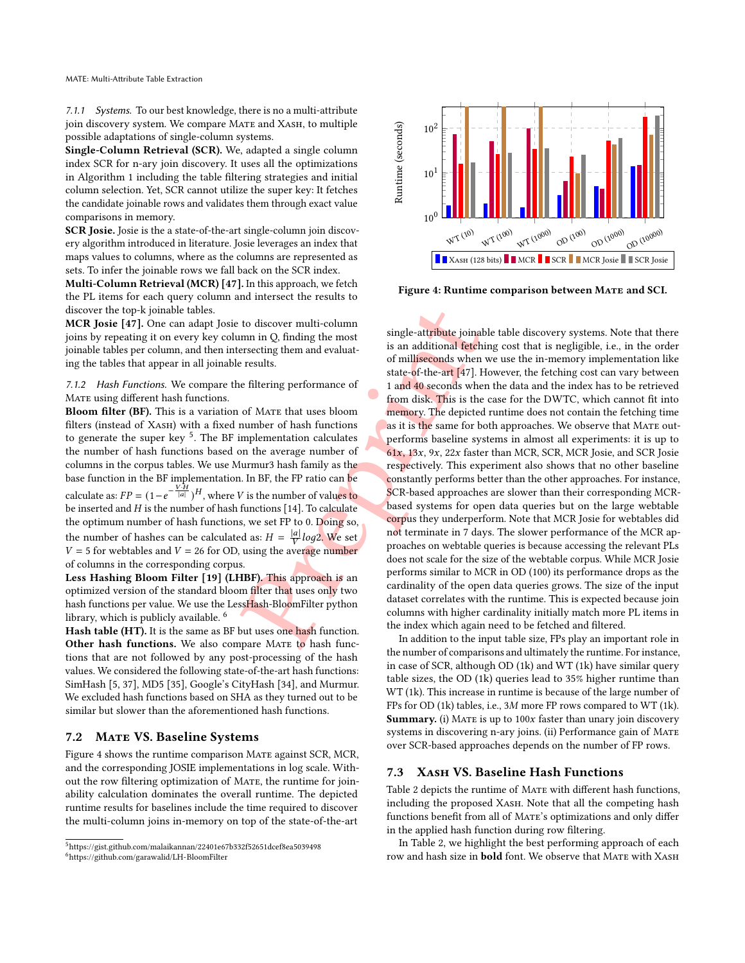7.1.1 Systems. To our best knowledge, there is no a multi-attribute join discovery system. We compare MATE and XASH, to multiple possible adaptations of single-column systems.

Single-Column Retrieval (SCR). We, adapted a single column index SCR for n-ary join discovery. It uses all the optimizations in Algorithm [1](#page-5-4) including the table filtering strategies and initial column selection. Yet, SCR cannot utilize the super key: It fetches the candidate joinable rows and validates them through exact value comparisons in memory.

SCR Josie. Josie is the a state-of-the-art single-column join discovery algorithm introduced in literature. Josie leverages an index that maps values to columns, where as the columns are represented as sets. To infer the joinable rows we fall back on the SCR index.

Multi-Column Retrieval (MCR) [\[47\]](#page-12-15). In this approach, we fetch the PL items for each query column and intersect the results to discover the top-k joinable tables.

MCR Josie [\[47\]](#page-12-15). One can adapt Josie to discover multi-column joins by repeating it on every key column in Q, finding the most joinable tables per column, and then intersecting them and evaluating the tables that appear in all joinable results.

7.1.2 Hash Functions. We compare the filtering performance of MATE using different hash functions.

Bloom filter (BF). This is a variation of MATE that uses bloom filters (instead of XASH) with a fixed number of hash functions to generate the super key <sup>[5](#page-8-0)</sup>. The BF implementation calculates the number of hash functions based on the average number of columns in the corpus tables. We use Murmur3 hash family as the base function in the BF implementation. In BF, the FP ratio can be calculate as:  $FP = (1 - e^{-\frac{V \cdot \hat{H}}{|a|}})^{H}$ , where V is the number of values to be inserted and  $H$  is the number of hash functions [14]. To calculate the optimum number of hash functions, we set FP to 0. Doing so, the number of hashes can be calculated as:  $H = \frac{|a|}{V} log2$ . We set  $V = 5$  for webtables and  $V = 26$  for OD, using the average number of columns in the corresponding corpus.

Less Hashing Bloom Filter [\[19\]](#page-12-27) (LHBF). This approach is an optimized version of the standard bloom filter that uses only two hash functions per value. We use the LessHash-BloomFilter python library, which is publicly available. [6](#page-8-1)

Hash table (HT). It is the same as BF but uses one hash function. Other hash functions. We also compare MATE to hash functions that are not followed by any post-processing of the hash values. We considered the following state-of-the-art hash functions: SimHash [ [5](#page-12-30) , [37\]](#page-12-31), MD5 [\[35\]](#page-12-32), Google's CityHash [\[34\]](#page-12-33), and Murmur. We excluded hash functions based on SHA as they turned out to be similar but slower than the aforementioned hash functions.

#### 7.2 MATE VS. Baseline Systems

Figure [4](#page-8-2) shows the runtime comparison Mate against SCR, MCR, and the corresponding JOSIE implementations in log scale. Without the row filtering optimization of Mate, the runtime for joinability calculation dominates the overall runtime. The depicted runtime results for baselines include the time required to discover the multi-column joins in-memory on top of the state-of-the-art

<span id="page-8-2"></span>

Figure 4: Runtime comparison between MATE and SCI.

to discover multi-colum[n](#page-12-15)<br>
errecting them and evaluational single-attribute joinal<br>
errecting them and evaluations<br>
of milliseconds when<br>
of milliseconds when<br>
of milliseconds when<br>
of miliseconds when<br>
of miliseconds when single-attribute joinable table discovery systems. Note that there is an additional fetching cost that is negligible, i.e., in the order of milliseconds when we use the in-memory implementation like state-of-the-art [47]. However, the fetching cost can vary between 1 and 40 seconds when the data and the index has to be retrieved from disk. This is the case for the DWTC, which cannot fit into memory. The depicted runtime does not contain the fetching time as it is the same for both approaches. We observe that MATE outperforms baseline systems in almost all experiments: it is up to 61x, 13x, 9x, 22x faster than MCR, SCR, MCR Josie, and SCR Josie respectively. This experiment also shows that no other baseline constantly performs better than the other approaches. For instance, SCR-based approaches are slower than their corresponding MCRbased systems for open data queries but on the large webtable corpus they underperform. Note that MCR Josie for webtables did not terminate in 7 days. The slower performance of the MCR approaches on webtable queries is because accessing the relevant PLs does not scale for the size of the webtable corpus. While MCR Josie performs similar to MCR in OD (100) its performance drops as the cardinality of the open data queries grows. The size of the input dataset correlates with the runtime. This is expected because join columns with higher cardinality initially match more PL items in the index which again need to be fetched and filtered.

In addition to the input table size, FPs play an important role in the number of comparisons and ultimately the runtime. For instance, in case of SCR, although OD (1k) and WT (1k) have similar query table sizes, the OD (1k) queries lead to 35% higher runtime than WT (1k). This increase in runtime is because of the large number of FPs for OD (1k) tables, i.e., 3M more FP rows compared to WT (1k). Summary. (i) MATE is up to  $100x$  faster than unary join discovery systems in discovering n-ary joins. (ii) Performance gain of Mate over SCR-based approaches depends on the number of FP rows.

#### 7.3 Xash VS. Baseline Hash Functions

Table [2](#page-9-0) depicts the runtime of MATE with different hash functions, including the proposed XASH. Note that all the competing hash functions benefit from all of MATE's optimizations and only differ in the applied hash function during row filtering.

In Table [2,](#page-9-0) we highlight the best performing approach of each row and hash size in **bold** font. We observe that MATE with XASH

<span id="page-8-1"></span><span id="page-8-0"></span> ${}^{5}$ <https://gist.github.com/malaikannan/22401e67b332f52651dcef8ea5039498> ${}^{6}$ <https://github.com/garawalid/LH-BloomFilter>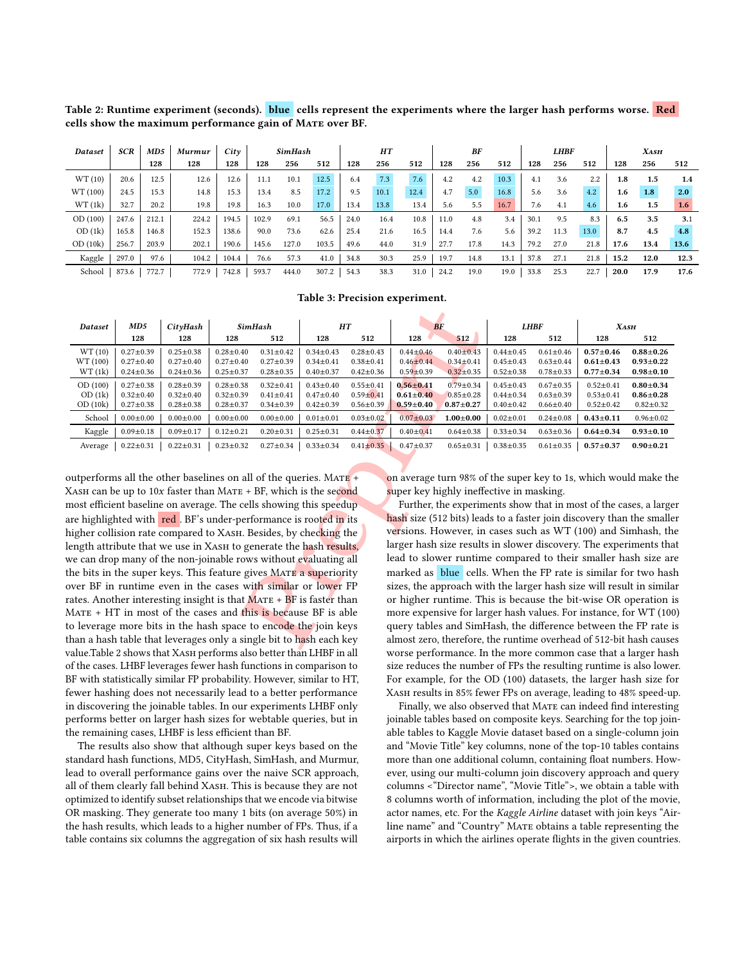<span id="page-9-0"></span>Table 2: Runtime experiment (seconds). blue cells represent the experiments where the larger hash performs worse. Red cells show the maximum performance gain of Mate over BF.

| Dataset  | <b>SCR</b> | MD5   | Murmur | City  | SimHash |       | HТ    |      |      | BF   |      |      | <b>LHBF</b> |      |      | <b>XASH</b> |      |                  |      |
|----------|------------|-------|--------|-------|---------|-------|-------|------|------|------|------|------|-------------|------|------|-------------|------|------------------|------|
|          |            | 128   | 128    | 128   | 128     | 256   | 512   | 128  | 256  | 512  | 128  | 256  | 512         | 128  | 256  | 512         | 128  | 256              | 512  |
| WT(10)   | 20.6       | 12.5  | 12.6   | 12.6  | 11.1    | 10.1  | 12.5  | 6.4  | 7.3  | 7.6  | 4.2  | 4.2  | 10.3        | 4.1  | 3.6  | 2.2         | 1.8  | 1.5              | 1.4  |
| WT (100) | 24.5       | 15.3  | 14.8   | 15.3  | 13.4    | 8.5   | 17.2  | 9.5  | 10.1 | 12.4 | 4.7  | 5.0  | 16.8        | 5.6  | 3.6  | 4.2         | 1.6  | 1.8 <sub>1</sub> | 2.0  |
| WT(1k)   | 32.7       | 20.2  | 19.8   | 19.8  | 16.3    | 10.0  | 17.0  | 13.4 | 13.8 | 13.4 | 5.6  | 5.5  | 16.7        | 7.6  | 4.1  | 4.6         | 1.6  | $1.5\,$          | 1.6  |
| OD(100)  | 247.6      | 212.1 | 224.2  | 194.5 | 102.9   | 69.1  | 56.5  | 24.0 | 16.4 | 10.8 | 11.0 | 4.8  | 3.4         | 30.1 | 9.5  | 8.3         | 6.5  | 3.5              | 3.1  |
| OD(1k)   | 165.8      | 146.8 | 152.3  | 138.6 | 90.0    | 73.6  | 62.6  | 25.4 | 21.6 | 16.5 | 14.4 | 7.6  | 5.6         | 39.2 | 11.3 | 13.0        | 8.7  | 4.5              | 4.8  |
| OD(10k)  | 256.7      | 203.9 | 202.1  | 190.6 | 145.6   | 127.0 | 103.5 | 49.6 | 44.0 | 31.9 | 27.7 | 17.8 | 14.3        | 79.2 | 27.0 | 21.8        | 17.6 | 13.4             | 13.6 |
| Kaggle   | 297.0      | 97.6  | 104.2  | 104.4 | 76.6    | 57.3  | 41.0  | 34.8 | 30.3 | 25.9 | 19.7 | 14.8 | 13.1        | 37.8 | 27.1 | 21.8        | 15.2 | 12.0             | 12.3 |
| School   | 873.6      | 772.7 | 772.9  | 742.8 | 593.7   | 444.0 | 307.2 | 54.3 | 38.3 | 31.0 | 24.2 | 19.0 | 19.0        | 33.8 | 25.3 | 22.7        | 20.0 | 17.9             | 17.6 |

#### Table 3: Precision experiment.

<span id="page-9-1"></span>

| Dataset                                                                                                                                                                                                                                                                                                                                                                                                                                                                                                                                                                                                                                                                                                                                                                                                                                                                                                                                                             | MD5                                                   | CityHash                                                                                                                                                                                                                                                                                                                                    | <b>SimHash</b>                                        |                                                       |                                                       | HT                                                    | BF                                                                                                                                                                                                                                                                                                                                              |                                                       |                                                       | <b>LHBF</b>                                           | <b>XASH</b>                                           |                                                       |  |
|---------------------------------------------------------------------------------------------------------------------------------------------------------------------------------------------------------------------------------------------------------------------------------------------------------------------------------------------------------------------------------------------------------------------------------------------------------------------------------------------------------------------------------------------------------------------------------------------------------------------------------------------------------------------------------------------------------------------------------------------------------------------------------------------------------------------------------------------------------------------------------------------------------------------------------------------------------------------|-------------------------------------------------------|---------------------------------------------------------------------------------------------------------------------------------------------------------------------------------------------------------------------------------------------------------------------------------------------------------------------------------------------|-------------------------------------------------------|-------------------------------------------------------|-------------------------------------------------------|-------------------------------------------------------|-------------------------------------------------------------------------------------------------------------------------------------------------------------------------------------------------------------------------------------------------------------------------------------------------------------------------------------------------|-------------------------------------------------------|-------------------------------------------------------|-------------------------------------------------------|-------------------------------------------------------|-------------------------------------------------------|--|
|                                                                                                                                                                                                                                                                                                                                                                                                                                                                                                                                                                                                                                                                                                                                                                                                                                                                                                                                                                     | 128                                                   | 128                                                                                                                                                                                                                                                                                                                                         | 128                                                   | 512                                                   | 512<br>128                                            |                                                       | 128                                                                                                                                                                                                                                                                                                                                             | 512                                                   | 128                                                   | 512                                                   | 128                                                   | 512                                                   |  |
| WT (10)<br>WT (100)<br>WT(1k)                                                                                                                                                                                                                                                                                                                                                                                                                                                                                                                                                                                                                                                                                                                                                                                                                                                                                                                                       | $0.27 \pm 0.39$<br>$0.27 \pm 0.40$<br>$0.24 \pm 0.36$ | $0.25 \pm 0.38$<br>$0.27 \pm 0.40$<br>$0.24 \pm 0.36$                                                                                                                                                                                                                                                                                       | $0.28 \pm 0.40$<br>$0.27 \pm 0.40$<br>$0.25 \pm 0.37$ | $0.31 \pm 0.42$<br>$0.27 \pm 0.39$<br>$0.28 \pm 0.35$ | $0.34 \pm 0.43$<br>$0.34 \pm 0.41$<br>$0.40 \pm 0.37$ | $0.28 \pm 0.43$<br>$0.38 + 0.41$<br>$0.42 \pm 0.36$   | $0.44 \pm 0.46$<br>$0.46 \pm 0.44$<br>$0.59 \pm 0.39$                                                                                                                                                                                                                                                                                           | $0.40 \pm 0.43$<br>$0.34 \pm 0.41$<br>$0.32 \pm 0.35$ | $0.44 \pm 0.45$<br>$0.45 \pm 0.43$<br>$0.52 \pm 0.38$ | $0.61 \pm 0.46$<br>$0.63 \pm 0.44$<br>$0.78 \pm 0.33$ | $0.57 + 0.46$<br>$0.61 \pm 0.43$<br>$0.77 + 0.34$     | $0.88 + 0.26$<br>$0.93 \pm 0.22$<br>$0.98 \pm 0.10$   |  |
| OD(100)<br>OD(1k)<br>OD(10k)                                                                                                                                                                                                                                                                                                                                                                                                                                                                                                                                                                                                                                                                                                                                                                                                                                                                                                                                        | $0.27 \pm 0.38$<br>$0.32 \pm 0.40$<br>$0.27 \pm 0.38$ | $0.28 \pm 0.39$<br>$0.32 \pm 0.40$<br>$0.28 \pm 0.38$                                                                                                                                                                                                                                                                                       | $0.28 \pm 0.38$<br>$0.32 \pm 0.39$<br>$0.28 \pm 0.37$ | $0.32 \pm 0.41$<br>$0.41 \pm 0.41$<br>$0.34 \pm 0.39$ | $0.43 \pm 0.40$<br>$0.47 \pm 0.40$<br>$0.42 \pm 0.39$ | $0.55 \pm 0.41$<br>$0.59 \pm 0.41$<br>$0.56 \pm 0.39$ | $0.56 \pm 0.41$<br>$0.61 \pm 0.40$<br>$0.59 \pm 0.40$                                                                                                                                                                                                                                                                                           | $0.79 \pm 0.34$<br>$0.85 \pm 0.28$<br>$0.87 + 0.27$   | $0.45 \pm 0.43$<br>$0.44 \pm 0.34$<br>$0.40 \pm 0.42$ | $0.67 \pm 0.35$<br>$0.63 \pm 0.39$<br>$0.66 \pm 0.40$ | $0.52 \pm 0.41$<br>$0.53 \pm 0.41$<br>$0.52 \pm 0.42$ | $0.80 \pm 0.34$<br>$0.86 \pm 0.28$<br>$0.82 \pm 0.32$ |  |
| School                                                                                                                                                                                                                                                                                                                                                                                                                                                                                                                                                                                                                                                                                                                                                                                                                                                                                                                                                              | $0.00 \pm 0.00$                                       | $0.00 \pm 0.00$                                                                                                                                                                                                                                                                                                                             | $0.00 \pm 0.00$                                       | $0.00 \pm 0.00$                                       | $0.01 \pm 0.01$                                       | $0.03 \pm 0.02$                                       | $0.07 \pm 0.03$                                                                                                                                                                                                                                                                                                                                 | $1.00 + 0.00$                                         | $0.02 \pm 0.01$                                       | $0.24 \pm 0.08$                                       | $0.43 + 0.11$                                         | $0.96 \pm 0.02$                                       |  |
| Kaggle                                                                                                                                                                                                                                                                                                                                                                                                                                                                                                                                                                                                                                                                                                                                                                                                                                                                                                                                                              | $0.09 \pm 0.18$                                       | $0.09 \pm 0.17$                                                                                                                                                                                                                                                                                                                             | $0.12 \pm 0.21$                                       | $0.20 \pm 0.31$                                       | $0.25 \pm 0.31$                                       | $0.44 \pm 0.37$                                       | $0.40 \pm 0.41$                                                                                                                                                                                                                                                                                                                                 | $0.64 \pm 0.38$                                       | $0.33 \pm 0.34$                                       | $0.63 \pm 0.36$                                       | $0.64 \pm 0.34$                                       | $0.93 \pm 0.10$                                       |  |
| Average                                                                                                                                                                                                                                                                                                                                                                                                                                                                                                                                                                                                                                                                                                                                                                                                                                                                                                                                                             | $0.22 \pm 0.31$                                       | $0.22 \pm 0.31$                                                                                                                                                                                                                                                                                                                             | $0.23 \pm 0.32$                                       | $0.27 \pm 0.34$                                       | $0.33 \pm 0.34$                                       | $0.41 \pm 0.35$                                       | $0.47 + 0.37$                                                                                                                                                                                                                                                                                                                                   | $0.65 \pm 0.31$                                       | $0.38 \pm 0.35$                                       | $0.61 \pm 0.35$                                       | $0.57 + 0.37$                                         | $0.90 \pm 0.21$                                       |  |
| putperforms all the other baselines on all of the queries. MATE +<br>on average turn 98% of the super key to 1s, which would make the<br>Каѕн can be up to 10x faster than Матв + BF, which is the second<br>super key highly ineffective in masking.<br>Further, the experiments show that in most of the cases, a large<br>nost efficient baseline on average. The cells showing this speedup<br>hash size (512 bits) leads to a faster join discovery than the smalle<br>are highlighted with red. BF's under-performance is rooted in its<br>versions. However, in cases such as WT (100) and Simhash, the<br>nigher collision rate compared to ХАѕн. Besides, by checking the<br>larger hash size results in slower discovery. The experiments that<br>ength attribute that we use in XAsH to generate the hash results,<br>lead to slower runtime compared to their smaller hash size are<br>ve can drop many of the non-joinable rows without evaluating all |                                                       |                                                                                                                                                                                                                                                                                                                                             |                                                       |                                                       |                                                       |                                                       |                                                                                                                                                                                                                                                                                                                                                 |                                                       |                                                       |                                                       |                                                       |                                                       |  |
|                                                                                                                                                                                                                                                                                                                                                                                                                                                                                                                                                                                                                                                                                                                                                                                                                                                                                                                                                                     |                                                       | he bits in the super keys. This feature gives MATE a superiority<br>over BF in runtime even in the cases with similar or lower FP<br>rates. Another interesting insight is that MATE + BF is faster than<br>MATE + HT in most of the cases and this is because BF is able<br>o leverage more bits in the hash space to encode the join keys |                                                       |                                                       |                                                       |                                                       | marked as blue cells. When the FP rate is similar for two has<br>sizes, the approach with the larger hash size will result in similar<br>or higher runtime. This is because the bit-wise OR operation i<br>more expensive for larger hash values. For instance, for WT (100)<br>query tables and SimHash, the difference between the FP rate is |                                                       |                                                       |                                                       |                                                       |                                                       |  |
| han a hash table that leverages only a single bit to h <mark>a</mark> sh each key<br>almost zero, therefore, the runtime overhead of 512-bit hash cause<br>$\frac{1}{2}$ $\frac{1}{2}$ $\frac{1}{2}$ $\frac{1}{2}$ $\frac{1}{2}$ $\frac{1}{2}$ $\frac{1}{2}$ $\frac{1}{2}$ $\frac{1}{2}$ $\frac{1}{2}$ $\frac{1}{2}$ $\frac{1}{2}$ $\frac{1}{2}$ $\frac{1}{2}$ $\frac{1}{2}$ $\frac{1}{2}$ $\frac{1}{2}$ $\frac{1}{2}$ $\frac{1}{2}$ $\frac{1}{2}$ $\frac{1}{2}$ $\frac{1}{2}$                                                                                                                                                                                                                                                                                                                                                                                                                                                                                      |                                                       |                                                                                                                                                                                                                                                                                                                                             |                                                       |                                                       |                                                       |                                                       |                                                                                                                                                                                                                                                                                                                                                 |                                                       |                                                       |                                                       |                                                       |                                                       |  |

outperforms all the other baselines on all of the queries. MATE + XASH can be up to 10x faster than MATE + BF, which is the sec<mark>ond</mark> most efficient baseline on average. The cells showing this speedup are highlighted with red. BF's under-performance is rooted in its higher collision rate compared to XASH. Besides, by checking the length attribute that we use in XASH to generate the hash results, we can drop many of the non-joinable rows without evaluating all the bits in the super keys. This feature gives MATE a superiority over BF in runtime even in the cases with similar or lower FP rates. Another interesting insight is that  $MATE + BF$  is faster than  $MATE + HT$  in most of the cases and this is because BF is able to leverage more bits in the hash space to encode the join keys than a hash table that leverages only a single bit to hash each key value.Table [2](#page-9-0) shows that XASH performs also better than LHBF in all of the cases. LHBF leverages fewer hash functions in comparison to BF with statistically similar FP probability. However, similar to HT, fewer hashing does not necessarily lead to a better performance in discovering the joinable tables. In our experiments LHBF only performs better on larger hash sizes for webtable queries, but in the remaining cases, LHBF is less efficient than BF.

The results also show that although super keys based on the standard hash functions, MD5, CityHash, SimHash, and Murmur, lead to overall performance gains over the naive SCR approach, all of them clearly fall behind Xash. This is because they are not optimized to identify subset relationships that we encode via bitwise OR masking. They generate too many 1 bits (on average 50%) in the hash results, which leads to a higher number of FPs. Thus, if a table contains six columns the aggregation of six hash results will

Further, the experiments show that in most of the cases, a larger hash size (512 bits) leads to a faster join discovery than the smaller versions. However, in cases such as WT (100) and Simhash, the larger hash size results in slower discovery. The experiments that lead to slower runtime compared to their smaller hash size are marked as blue cells. When the FP rate is similar for two hash sizes, the approach with the larger hash size will result in similar or higher runtime. This is because the bit-wise OR operation is more expensive for larger hash values. For instance, for WT (100) query tables and SimHash, the difference between the FP rate is almost zero, therefore, the runtime overhead of 512-bit hash causes worse performance. In the more common case that a larger hash size reduces the number of FPs the resulting runtime is also lower. For example, for the OD (100) datasets, the larger hash size for Xash results in 85% fewer FPs on average, leading to 48% speed-up.

Finally, we also observed that MATE can indeed find interesting joinable tables based on composite keys. Searching for the top joinable tables to Kaggle Movie dataset based on a single-column join and "Movie Title" key columns, none of the top-10 tables contains more than one additional column, containing float numbers. However, using our multi-column join discovery approach and query columns <"Director name", "Movie Title">, we obtain a table with 8 columns worth of information, including the plot of the movie, actor names, etc. For the Kaggle Airline dataset with join keys "Airline name" and "Country" Mate obtains a table representing the airports in which the airlines operate flights in the given countries.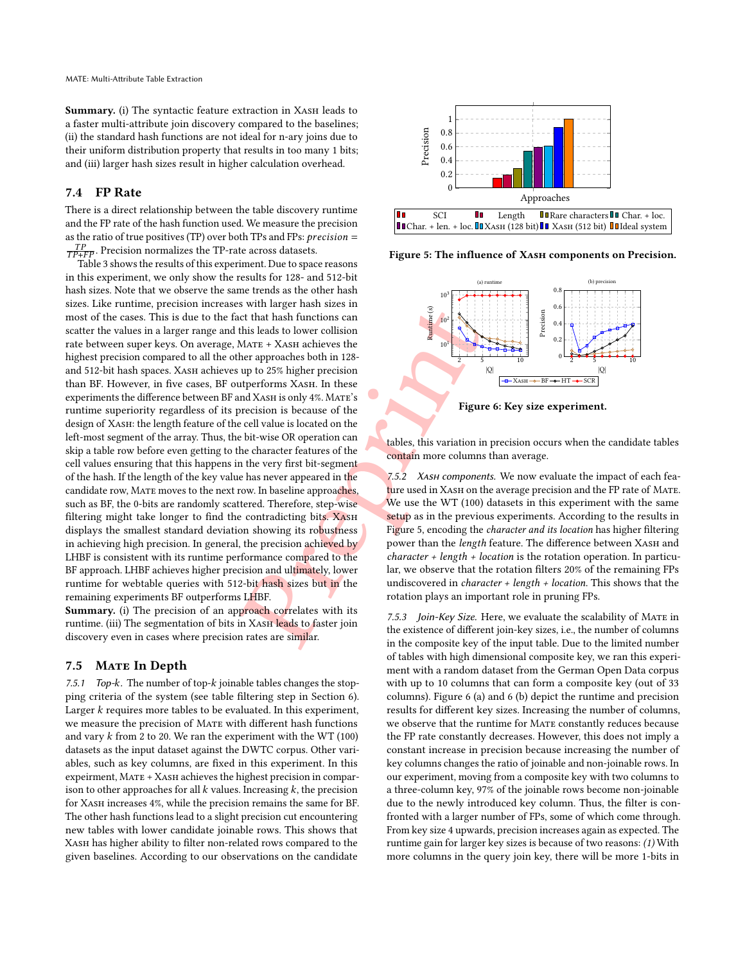Summary. (i) The syntactic feature extraction in XASH leads to a faster multi-attribute join discovery compared to the baselines; (ii) the standard hash functions are not ideal for n-ary joins due to their uniform distribution property that results in too many 1 bits; and (iii) larger hash sizes result in higher calculation overhead.

## 7.4 FP Rate

There is a direct relationship between the table discovery runtime and the FP rate of the hash function used. We measure the precision as the ratio of true positives (TP) over both TPs and FPs:  $\emph{precision} =$  $\frac{TP}{TP+FP}$ . Precision normalizes the TP-rate across datasets.

Solution and the hast functions can be that has functions and this leads to lower collision<br>that has leads to lower collision<br>that a stark achieves the<br>[p](#page-10-0)revious MATE + XASH achieves the<br>precision is because of the<br>recisio Table [3](#page-9-1) shows the results of this experiment. Due to space reasons in this experiment, we only show the results for 128- and 512-bit hash sizes. Note that we observe the same trends as the other hash sizes. Like runtime, precision increases with larger hash sizes in most of the cases. This is due to the fact that hash functions can scatter the values in a larger range and this leads to lower collision rate between super keys. On average, MATE + XASH achieves the highest precision compared to all the other approaches both in 128 and 512-bit hash spaces. XASH achieves up to 25% higher precision than BF. However, in five cases, BF outperforms XASH. In these experiments the difference between BF and Xash is only 4% . Mate's runtime superiority regardless of its precision is because of the design of XASH: the length feature of the cell value is located on the left-most segment of the array. Thus, the bit-wise OR operation can skip a table row before even getting to the character features of the cell values ensuring that this happens in the very first bit-segment of the hash. If the length of the key value has never appeared in the candidate row, MATE moves to the next row. In baseline approaches, such as BF, the 0-bits are randomly scattered. Therefore, step-wise filtering might take longer to find the contradicting bits. XASH displays the smallest standard deviation showing its robustness in achieving high precision. In general, the precision achieved by LHBF is consistent with its runtime performance compared to the BF approach. LHBF achieves higher precision and ultimately, lower runtime for webtable queries with 512-bit hash sizes but in the remaining experiments BF outperforms LHBF.

Summary. (i) The precision of an approach correlates with its runtime. (iii) The segmentation of bits in XASH leads to faster join discovery even in cases where precision rates are similar.

#### 7.5 MATE In Depth

7.5.1 Top- $k$ . The number of top- $k$  joinable tables changes the stopping criteria of the system (see table filtering step in Section [6\)](#page-5-0).  $L$ arger  $k$  requires more tables to be evaluated. In this experiment, we measure the precision of Mate with different hash functions and vary  $k$  from 2 to 20. We ran the experiment with the WT (100) datasets as the input dataset against the DWTC corpus. Other variables, such as key columns, are fixed in this experiment. In this expeirment, MATE + XASH achieves the highest precision in comparison to other approaches for all  $k$  values. Increasing  $k$ , the precision for Xash increases 4%, while the precision remains the same for BF. The other hash functions lead to a slight precision cut encountering new tables with lower candidate joinable rows. This shows that Xash has higher ability to filter non-related rows compared to the given baselines. According to our observations on the candidate

<span id="page-10-0"></span>

<span id="page-10-1"></span>Figure 5: The influence of XASH components on Precision.



Figure 6: Key size experiment.

tables, this variation in precision occurs when the candidate tables contain more columns than average.

7.5.2 *XASH components*. We now evaluate the impact of each feature used in XASH on the average precision and the FP rate of MATE. We use the WT (100) datasets in this experiment with the same setup as in the previous experiments. According to the results in Figure 5, encoding the character and its location has higher filtering power than the length feature. The difference between XASH and  $character + length + location$  is the rotation operation. In particular, we observe that the rotation filters 20% of the remaining FPs undiscovered in *character* + *length* + *location*. This shows that the rotation plays an important role in pruning FPs.

7.5.3 Join-Key Size. Here, we evaluate the scalability of MATE in the existence of different join-key sizes, i.e., the number of columns in the composite key of the input table. Due to the limited number of tables with high dimensional composite key, we ran this experiment with a random dataset from the German Open Data corpus with up to 10 columns that can form a composite key (out of 33 columns). Figure [6](#page-10-1) (a) and [6](#page-10-1) (b) depict the runtime and precision results for different key sizes. Increasing the number of columns, we observe that the runtime for MATE constantly reduces because the FP rate constantly decreases. However, this does not imply a constant increase in precision because increasing the number of key columns changes the ratio of joinable and non-joinable rows. In our experiment, moving from a composite key with two columns to a three-column key, 97% of the joinable rows become non-joinable due to the newly introduced key column. Thus, the filter is confronted with a larger number of FPs, some of which come through. From key size 4 upwards, precision increases again as expected. The runtime gain for larger key sizes is because of two reasons: (1) With more columns in the query join key, there will be more 1-bits in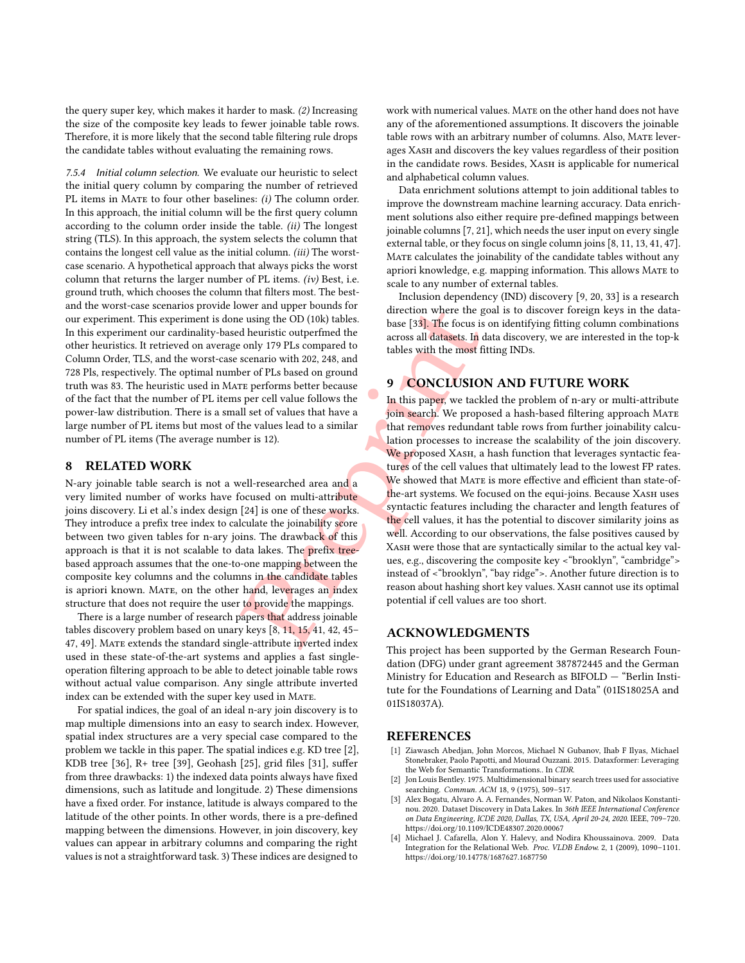the query super key, which makes it harder to mask. (2) Increasing the size of the composite key leads to fewer joinable table rows. Therefore, it is more likely that the second table filtering rule drops the candidate tables without evaluating the remaining rows.

7.5.4 Initial column selection. We evaluate our heuristic to select the initial query column by comparing the number of retrieved PL items in MATE to four other baselines: (i) The column order. In this approach, the initial column will be the first query column according to the column order inside the table. (ii) The longest string (TLS). In this approach, the system selects the column that contains the longest cell value as the initial column. (iii) The worstcase scenario. A hypothetical approach that always picks the worst column that returns the larger number of PL items. (iv) Best, i.e. ground truth, which chooses the column that filters most. The bestand the worst-case scenarios provide lower and upper bounds for our experiment. This experiment is done using the OD (10k) tables. In this experiment our cardinality-based heuristic outperfmed the other heuristics. It retrieved on average only 179 PLs compared to Column Order, TLS, and the worst-case scenario with 202, 248, and 728 Pls, respectively. The optimal number of PLs based on ground truth was 83. The heuristic used in Mate performs better because of the fact that the number of PL items per cell value follows the power-law distribution. There is a small set of values that have a large number of PL items but most of the values lead to a similar number of PL items (The average number is 12).

#### 8 RELATED WORK

N-ary joinable table search is not a well-researched area and a very limited number of works have focused on multi-attribute joins discovery. Li et al.'s index design [24] is one of these works. They introduce a prefix tree index to calculate the joinability score between two given tables for n-ary joins. The drawback of this approach is that it is not scalable to data lakes. The prefix treebased approach assumes that the one-to-one mapping between the composite key columns and the columns in the candidate tables is apriori known. Mate, on the other hand, leverages an index structure that does not require the user to provide the mappings.

There is a large number of research papers that address joinable tables discovery problem based on unary keys [8, 11, 15, 41, 42, 45– [47](#page-12-15), [49\]](#page-12-16). MATE extends the standard single-attribute inverted index used in these state-of-the-art systems and applies a fast singleoperation filtering approach to be able to detect joinable table rows without actual value comparison. Any single attribute inverted index can be extended with the super key used in MATE.

For spatial indices, the goal of an ideal n-ary join discovery is to map multiple dimensions into an easy to search index. However, spatial index structures are a very special case compared to the problem we tackle in this paper. The spatial indices e.g. KD tree [ [2\]](#page-11-3), KDB tree [\[36\]](#page-12-38), R+ tree [\[39\]](#page-12-39), Geohash [\[25\]](#page-12-40), grid files [\[31\]](#page-12-41), suffer from three drawbacks: 1) the indexed data points always have fixed dimensions, such as latitude and longitude. 2) These dimensions have a fixed order. For instance, latitude is always compared to the latitude of the other points. In other words, there is a pre-defined mapping between the dimensions. However, in join discovery, key values can appear in arbitrary columns and comparing the right values is not a straightforward task. 3) These indices are designed to

work with numerical values. MATE on the other hand does not have any of the aforementioned assumptions. It discovers the joinable table rows with an arbitrary number of columns. Also, Mate leverages Xash and discovers the key values regardless of their position in the candidate rows. Besides, XASH is applicable for numerical and alphabetical column values.

Data enrichment solutions attempt to join additional tables to improve the downstream machine learning accuracy. Data enrichment solutions also either require pre-defined mappings between joinable columns [ [7](#page-12-2) , [21\]](#page-12-42), which needs the user input on every single external table, or they focus on single column joins [[8](#page-12-20), [11](#page-12-35), [13](#page-12-3), [41](#page-12-14), [47\]](#page-12-15). Mate calculates the joinability of the candidate tables without any apriori knowledge, e.g. mapping information. This allows Mate to scale to any number of external tables.

Inclusion dependency (IND) discovery [ [9](#page-12-23) , [20](#page-12-43) , [33\]](#page-12-24) is a research direction where the goal is to discover foreign keys in the database [33]. The focus is on identifying fitting column combinations across all datasets. In data discovery, we are interested in the top-k tables with the most fitting INDs.

## 9 CONCLUSION AND FUTURE WORK

Wer and upper bounds for direction where the gental dentatic outperfined the same of [P](#page-12-35)Ls base [33]. The focus is across all da[t](#page-12-24)asets. In dentatic outper of PLs based on ground the most for the most for the most for the mos In this paper, we tackled the problem of n-ary or multi-attribute join search. We proposed a hash-based filtering approach MATE that removes redundant table rows from further joinability calculation processes to increase the scalability of the join discovery. We proposed XASH, a hash function that leverages syntactic features of the cell values that ultimately lead to the lowest FP rates. We showed that MATE is more effective and efficient than state-ofthe-art systems. We focused on the equi-joins. Because XASH uses syntactic features including the character and length features of the cell values, it has the potential to discover similarity joins as well. According to our observations, the false positives caused by Xash were those that are syntactically similar to the actual key values, e.g., discovering the composite key <"brooklyn", "cambridge"> instead of <"brooklyn", "bay ridge">. Another future direction is to reason about hashing short key values. XASH cannot use its optimal potential if cell values are too short.

#### ACKNOWLEDGMENTS

This project has been supported by the German Research Foundation (DFG) under grant agreement 387872445 and the German Ministry for Education and Research as BIFOLD — "Berlin Institute for the Foundations of Learning and Data" (01IS18025A and 01IS18037A).

#### REFERENCES

- <span id="page-11-0"></span>[1] Ziawasch Abedjan, John Morcos, Michael N Gubanov, Ihab F Ilyas, Michael Stonebraker, Paolo Papotti, and Mourad Ouzzani. 2015. Dataxformer: Leveraging the Web for Semantic Transformations.. In CIDR .
- <span id="page-11-3"></span>[2] Jon Louis Bentley. 1975. Multidimensional binary search trees used for associative searching. Commun. ACM 18, 9 (1975), 509–517.
- <span id="page-11-1"></span>[3] Alex Bogatu, Alvaro A. A. Fernandes, Norman W. Paton, and Nikolaos Konstantinou. 2020. Dataset Discovery in Data Lakes. In 36th IEEE International Conference on Data Engineering, ICDE 2020, Dallas, TX, USA, April 20-24, 2020. IEEE, 709–720. <https://doi.org/10.1109/ICDE48307.2020.00067>
- <span id="page-11-2"></span>[4] Michael J. Cafarella, Alon Y. Halevy, and Nodira Khoussainova. 2009. Data Integration for the Relational Web. Proc. VLDB Endow. 2, 1 (2009), 1090–1101. <https://doi.org/10.14778/1687627.1687750>